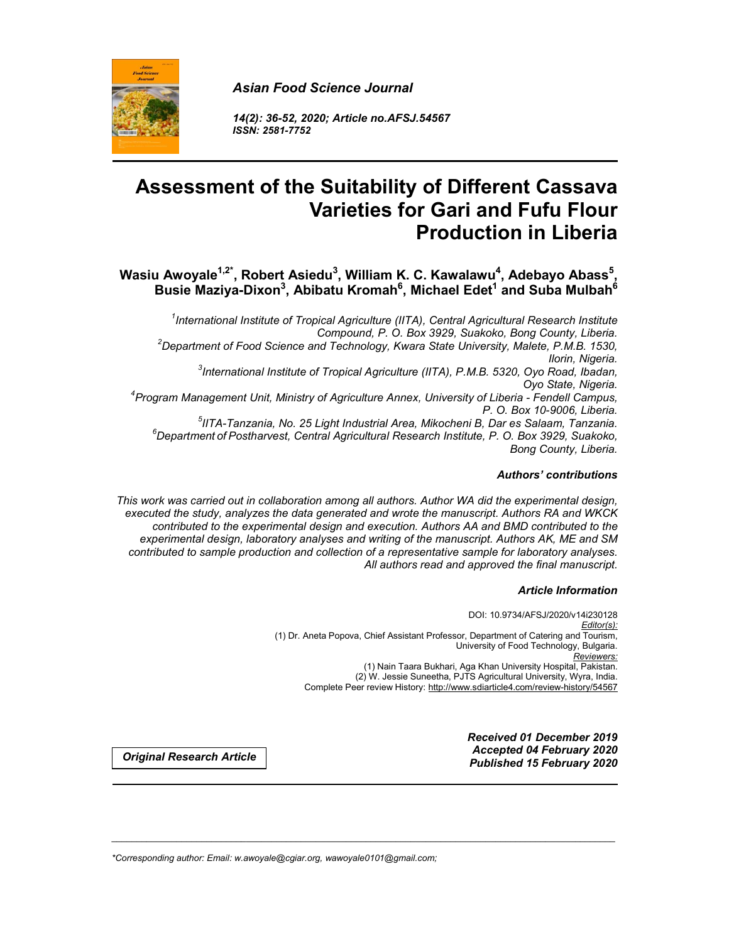

*14(2): 36-52, 2020; Article no.AFSJ.54567 ISSN: 2581-7752*

# **Assessment of the Suitability of Different Cassava Varieties for Gari and Fufu Flour Production in Liberia**

Wasiu Awoyale<sup>1,2\*</sup>, Robert Asiedu<sup>3</sup>, William K. C. Kawalawu<sup>4</sup>, Adebayo Abass<sup>5</sup>, **Busie Maziya-Dixon3 , Abibatu Kromah6 , Michael Edet1 and Suba Mulbah6**

*1 International Institute of Tropical Agriculture (IITA), Central Agricultural Research Institute Compound, P. O. Box 3929, Suakoko, Bong County, Liberia. <sup>2</sup> Department of Food Science and Technology, Kwara State University, Malete, P.M.B. 1530, Ilorin, Nigeria. <sup>3</sup> International Institute of Tropical Agriculture (IITA), P.M.B. 5320, Oyo Road, Ibadan, Oyo State, Nigeria. <sup>4</sup> Program Management Unit, Ministry of Agriculture Annex, University of Liberia - Fendell Campus, P. O. Box 10-9006, Liberia. <sup>5</sup> IITA-Tanzania, No. 25 Light Industrial Area, Mikocheni B, Dar es Salaam, Tanzania. <sup>6</sup> Department of Postharvest, Central Agricultural Research Institute, P. O. Box 3929, Suakoko, Bong County, Liberia.*

#### *Authors' contributions*

*This work was carried out in collaboration among all authors. Author WA did the experimental design, executed the study, analyzes the data generated and wrote the manuscript. Authors RA and WKCK contributed to the experimental design and execution. Authors AA and BMD contributed to the experimental design, laboratory analyses and writing of the manuscript. Authors AK, ME and SM contributed to sample production and collection of a representative sample for laboratory analyses. All authors read and approved the final manuscript.*

\_\_\_\_\_\_\_\_\_\_\_\_\_\_\_\_\_\_\_\_\_\_\_\_\_\_\_\_\_\_\_\_\_\_\_\_\_\_\_\_\_\_\_\_\_\_\_\_\_\_\_\_\_\_\_\_\_\_\_\_\_\_\_\_\_\_\_\_\_\_\_\_\_\_\_\_\_\_\_\_\_\_\_\_\_\_\_\_\_\_\_\_\_\_\_\_\_\_\_\_\_

#### *Article Information*

DOI: 10.9734/AFSJ/2020/v14i230128 *Editor(s):* (1) Dr. Aneta Popova, Chief Assistant Professor, Department of Catering and Tourism, University of Food Technology, Bulgaria. *Reviewers:* (1) Nain Taara Bukhari, Aga Khan University Hospital, Pakistan. (2) W. Jessie Suneetha, PJTS Agricultural University, Wyra, India. Complete Peer review History: http://www.sdiarticle4.com/review-history/54567

*Received 01 December 2019 Accepted 04 February 2020 Published 15 February 2020 Original Research Article*

*\*Corresponding author: Email: w.awoyale@cgiar.org, wawoyale0101@gmail.com;*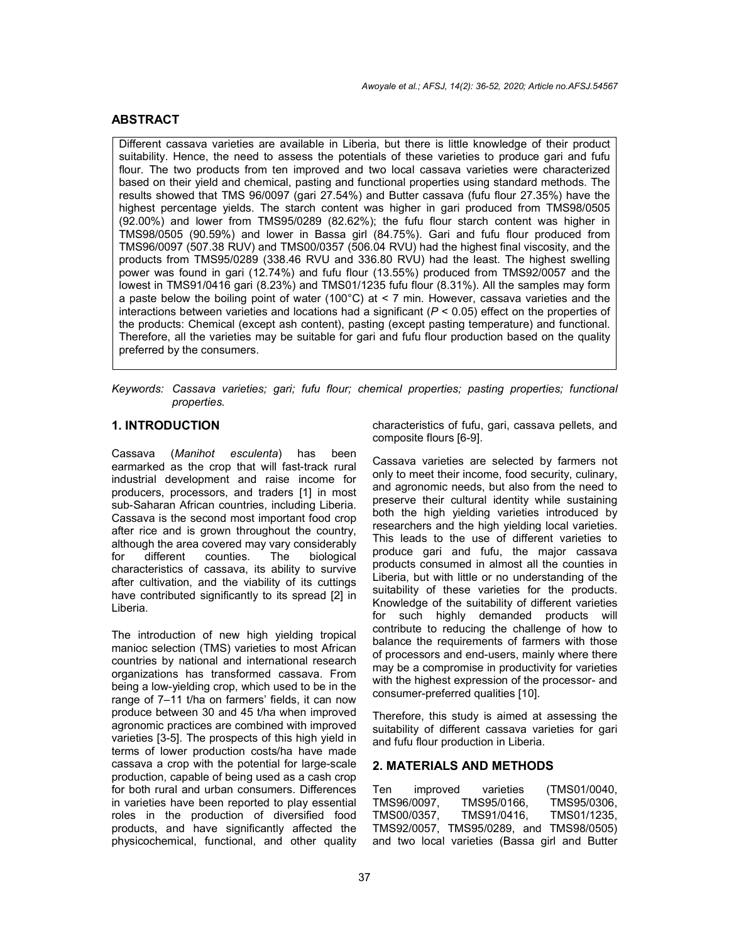# **ABSTRACT**

Different cassava varieties are available in Liberia, but there is little knowledge of their product suitability. Hence, the need to assess the potentials of these varieties to produce gari and fufu flour. The two products from ten improved and two local cassava varieties were characterized based on their yield and chemical, pasting and functional properties using standard methods. The results showed that TMS 96/0097 (gari 27.54%) and Butter cassava (fufu flour 27.35%) have the highest percentage yields. The starch content was higher in gari produced from TMS98/0505 (92.00%) and lower from TMS95/0289 (82.62%); the fufu flour starch content was higher in TMS98/0505 (90.59%) and lower in Bassa girl (84.75%). Gari and fufu flour produced from TMS96/0097 (507.38 RUV) and TMS00/0357 (506.04 RVU) had the highest final viscosity, and the products from TMS95/0289 (338.46 RVU and 336.80 RVU) had the least. The highest swelling power was found in gari (12.74%) and fufu flour (13.55%) produced from TMS92/0057 and the lowest in TMS91/0416 gari (8.23%) and TMS01/1235 fufu flour (8.31%). All the samples may form a paste below the boiling point of water (100°C) at < 7 min. However, cassava varieties and the interactions between varieties and locations had a significant  $(P < 0.05)$  effect on the properties of the products: Chemical (except ash content), pasting (except pasting temperature) and functional. Therefore, all the varieties may be suitable for gari and fufu flour production based on the quality preferred by the consumers.

*Keywords: Cassava varieties; gari; fufu flour; chemical properties; pasting properties; functional properties.*

# **1. INTRODUCTION**

Cassava (*Manihot esculenta*) has been earmarked as the crop that will fast-track rural industrial development and raise income for producers, processors, and traders [1] in most sub-Saharan African countries, including Liberia. Cassava is the second most important food crop after rice and is grown throughout the country, although the area covered may vary considerably for different counties. The biological characteristics of cassava, its ability to survive after cultivation, and the viability of its cuttings have contributed significantly to its spread [2] in Liberia.

The introduction of new high yielding tropical manioc selection (TMS) varieties to most African countries by national and international research organizations has transformed cassava. From being a low-yielding crop, which used to be in the range of 7–11 t/ha on farmers' fields, it can now produce between 30 and 45 t/ha when improved agronomic practices are combined with improved varieties [3-5]. The prospects of this high yield in terms of lower production costs/ha have made cassava a crop with the potential for large-scale production, capable of being used as a cash crop for both rural and urban consumers. Differences in varieties have been reported to play essential roles in the production of diversified food products, and have significantly affected the physicochemical, functional, and other quality characteristics of fufu, gari, cassava pellets, and composite flours [6-9].

Cassava varieties are selected by farmers not only to meet their income, food security, culinary, and agronomic needs, but also from the need to preserve their cultural identity while sustaining both the high yielding varieties introduced by researchers and the high yielding local varieties. This leads to the use of different varieties to produce gari and fufu, the major cassava products consumed in almost all the counties in Liberia, but with little or no understanding of the suitability of these varieties for the products. Knowledge of the suitability of different varieties for such highly demanded products will contribute to reducing the challenge of how to balance the requirements of farmers with those of processors and end-users, mainly where there may be a compromise in productivity for varieties with the highest expression of the processor- and consumer-preferred qualities [10].

Therefore, this study is aimed at assessing the suitability of different cassava varieties for gari and fufu flour production in Liberia.

#### **2. MATERIALS AND METHODS**

Ten improved varieties (TMS01/0040, TMS96/0097, TMS95/0166, TMS95/0306, TMS00/0357, TMS91/0416, TMS01/1235, TMS92/0057, TMS95/0289, and TMS98/0505) and two local varieties (Bassa girl and Butter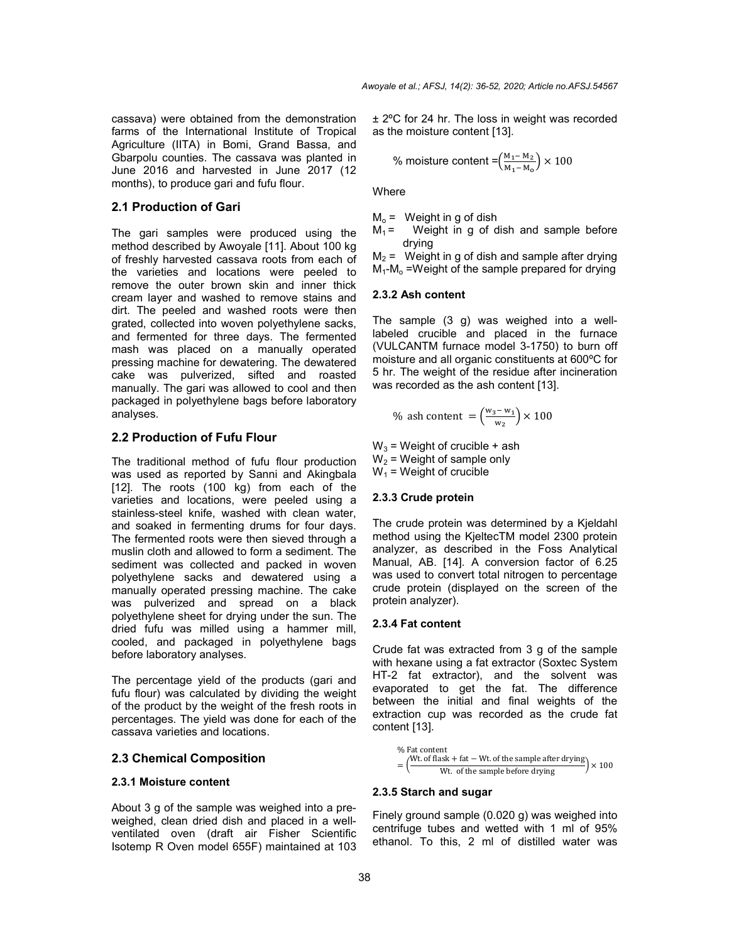cassava) were obtained from the demonstration farms of the International Institute of Tropical Agriculture (IITA) in Bomi, Grand Bassa, and Gbarpolu counties. The cassava was planted in June 2016 and harvested in June 2017 (12 months), to produce gari and fufu flour.

### **2.1 Production of Gari**

The gari samples were produced using the method described by Awoyale [11]. About 100 kg of freshly harvested cassava roots from each of the varieties and locations were peeled to remove the outer brown skin and inner thick cream layer and washed to remove stains and dirt. The peeled and washed roots were then grated, collected into woven polyethylene sacks, and fermented for three days. The fermented mash was placed on a manually operated pressing machine for dewatering. The dewatered cake was pulverized, sifted and roasted manually. The gari was allowed to cool and then packaged in polyethylene bags before laboratory analyses.

# **2.2 Production of Fufu Flour**

The traditional method of fufu flour production was used as reported by Sanni and Akingbala [12]. The roots (100 kg) from each of the varieties and locations, were peeled using a stainless-steel knife, washed with clean water, and soaked in fermenting drums for four days. The fermented roots were then sieved through a muslin cloth and allowed to form a sediment. The sediment was collected and packed in woven polyethylene sacks and dewatered using a manually operated pressing machine. The cake was pulverized and spread on a black polyethylene sheet for drying under the sun. The dried fufu was milled using a hammer mill, cooled, and packaged in polyethylene bags before laboratory analyses.

The percentage yield of the products (gari and fufu flour) was calculated by dividing the weight of the product by the weight of the fresh roots in percentages. The yield was done for each of the cassava varieties and locations.

### **2.3 Chemical Composition**

### **2.3.1 Moisture content**

About 3 g of the sample was weighed into a preweighed, clean dried dish and placed in a wellventilated oven (draft air Fisher Scientific Isotemp R Oven model 655F) maintained at 103 ± 2ºC for 24 hr. The loss in weight was recorded as the moisture content [13].

% moisture content = 
$$
\left(\frac{M_1 - M_2}{M_1 - M_0}\right) \times 100
$$

Where

 $M_0$  = Weight in g of dish<br> $M_1$  = Weight in g of c Weight in g of dish and sample before drying

 $M_2$  = Weight in g of dish and sample after drying  $M_1$ - $M_0$  =Weight of the sample prepared for drying

#### **2.3.2 Ash content**

The sample (3 g) was weighed into a welllabeled crucible and placed in the furnace (VULCANTM furnace model 3-1750) to burn off moisture and all organic constituents at 600ºC for 5 hr. The weight of the residue after incineration was recorded as the ash content [13].

% ash content = 
$$
\left(\frac{w_3 - w_1}{w_2}\right) \times 100
$$

 $W_3$  = Weight of crucible + ash  $W<sub>2</sub>$  = Weight of sample only  $W_1$  = Weight of crucible

# **2.3.3 Crude protein**

The crude protein was determined by a Kjeldahl method using the KjeltecTM model 2300 protein analyzer, as described in the Foss Analytical Manual, AB. [14]. A conversion factor of 6.25 was used to convert total nitrogen to percentage crude protein (displayed on the screen of the protein analyzer).

### **2.3.4 Fat content**

Crude fat was extracted from 3 g of the sample with hexane using a fat extractor (Soxtec System HT-2 fat extractor), and the solvent was evaporated to get the fat. The difference between the initial and final weights of the extraction cup was recorded as the crude fat content [13].

% Fat content  
= 
$$
\left(\frac{Wt \cdot \text{of flask} + \text{fat} - Wt \cdot \text{of the sample after drying}}{Wt \cdot \text{of the sample before drying}}\right) \times 100
$$

#### **2.3.5 Starch and sugar**

Finely ground sample (0.020 g) was weighed into centrifuge tubes and wetted with 1 ml of 95% ethanol. To this, 2 ml of distilled water was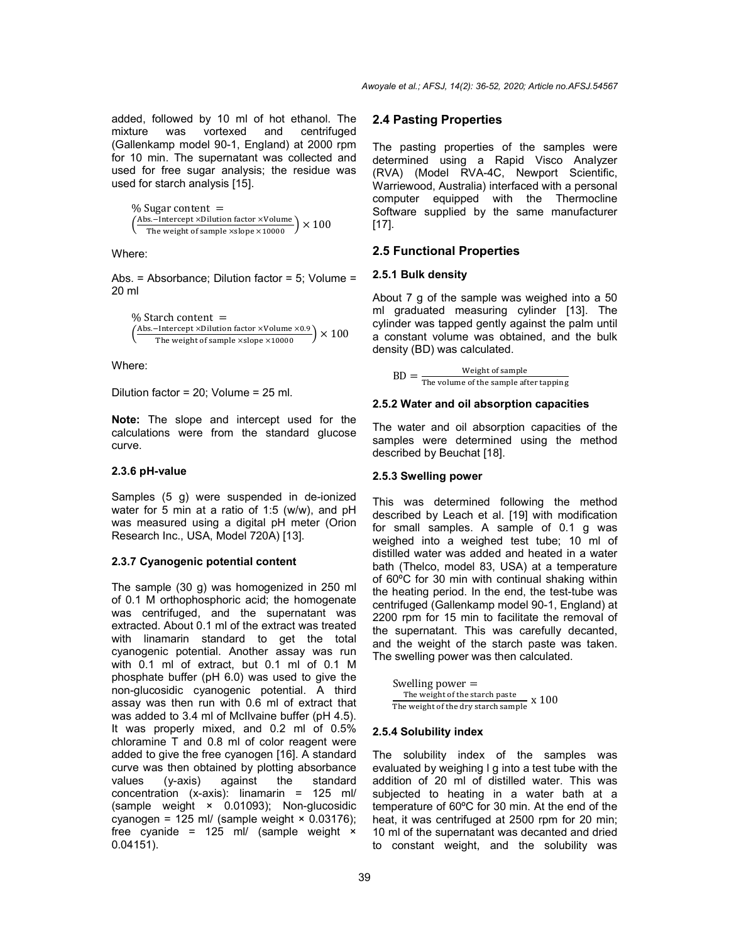added, followed by 10 ml of hot ethanol. The mixture was vortexed and centrifuged (Gallenkamp model 90-1, England) at 2000 rpm for 10 min. The supernatant was collected and used for free sugar analysis; the residue was used for starch analysis [15].

 $%$  Sugar content =  $\left(\frac{\text{Abs-Intercept} \times \text{Dilution factor} \times \text{Volume}}{\text{The weight of sample} \times \text{slope} \times \text{10000}}\right) \times 100$ 

Where:

Abs. = Absorbance; Dilution factor = 5; Volume = 20 ml

% Starch content  $=$  $\left(\frac{\text{Abs.-Intercept} \times \text{Dilution factor} \times \text{Volume} \times 0.9}{\text{The weight of sample} \times \text{slope} \times 10000}\right) \times 100$ 

Where:

Dilution factor = 20; Volume = 25 ml.

**Note:** The slope and intercept used for the calculations were from the standard glucose curve.

#### **2.3.6 pH-value**

Samples (5 g) were suspended in de-ionized water for 5 min at a ratio of 1:5 (w/w), and pH was measured using a digital pH meter (Orion Research Inc., USA, Model 720A) [13].

#### **2.3.7 Cyanogenic potential content**

The sample (30 g) was homogenized in 250 ml of 0.1 M orthophosphoric acid; the homogenate was centrifuged, and the supernatant was extracted. About 0.1 ml of the extract was treated with linamarin standard to get the total cyanogenic potential. Another assay was run with 0.1 ml of extract, but 0.1 ml of 0.1 M phosphate buffer (pH 6.0) was used to give the non-glucosidic cyanogenic potential. A third assay was then run with 0.6 ml of extract that was added to 3.4 ml of McIlvaine buffer (pH 4.5). It was properly mixed, and 0.2 ml of 0.5% chloramine T and 0.8 ml of color reagent were added to give the free cyanogen [16]. A standard curve was then obtained by plotting absorbance<br>values  $(y-axis)$  against the standard values (y-axis) against the standard concentration (x-axis): linamarin = 125 ml/ (sample weight × 0.01093); Non-glucosidic cyanogen = 125 ml/ (sample weight  $\times$  0.03176); free cyanide =  $125$  ml/ (sample weight  $\times$ 0.04151).

#### **2.4 Pasting Properties**

The pasting properties of the samples were determined using a Rapid Visco Analyzer (RVA) (Model RVA-4C, Newport Scientific, Warriewood, Australia) interfaced with a personal computer equipped with the Thermocline Software supplied by the same manufacturer [17].

#### **2.5 Functional Properties**

#### **2.5.1 Bulk density**

About 7 g of the sample was weighed into a 50 ml graduated measuring cylinder [13]. The cylinder was tapped gently against the palm until a constant volume was obtained, and the bulk density (BD) was calculated.

 $BD = \frac{Weight \space of \space sample}{The \space volume \space of \space the \space sample \space after \space tapping}$ 

#### **2.5.2 Water and oil absorption capacities**

The water and oil absorption capacities of the samples were determined using the method described by Beuchat [18].

#### **2.5.3 Swelling power**

This was determined following the method described by Leach et al. [19] with modification for small samples. A sample of 0.1 g was weighed into a weighed test tube; 10 ml of distilled water was added and heated in a water bath (Thelco, model 83, USA) at a temperature of 60ºC for 30 min with continual shaking within the heating period. In the end, the test-tube was centrifuged (Gallenkamp model 90-1, England) at 2200 rpm for 15 min to facilitate the removal of the supernatant. This was carefully decanted, and the weight of the starch paste was taken. The swelling power was then calculated.

Swelling power = The weight of the starch paste The weight of the dry starch sample x 100

#### **2.5.4 Solubility index**

The solubility index of the samples was evaluated by weighing l g into a test tube with the addition of 20 ml of distilled water. This was subjected to heating in a water bath at a temperature of 60ºC for 30 min. At the end of the heat, it was centrifuged at 2500 rpm for 20 min; 10 ml of the supernatant was decanted and dried to constant weight, and the solubility was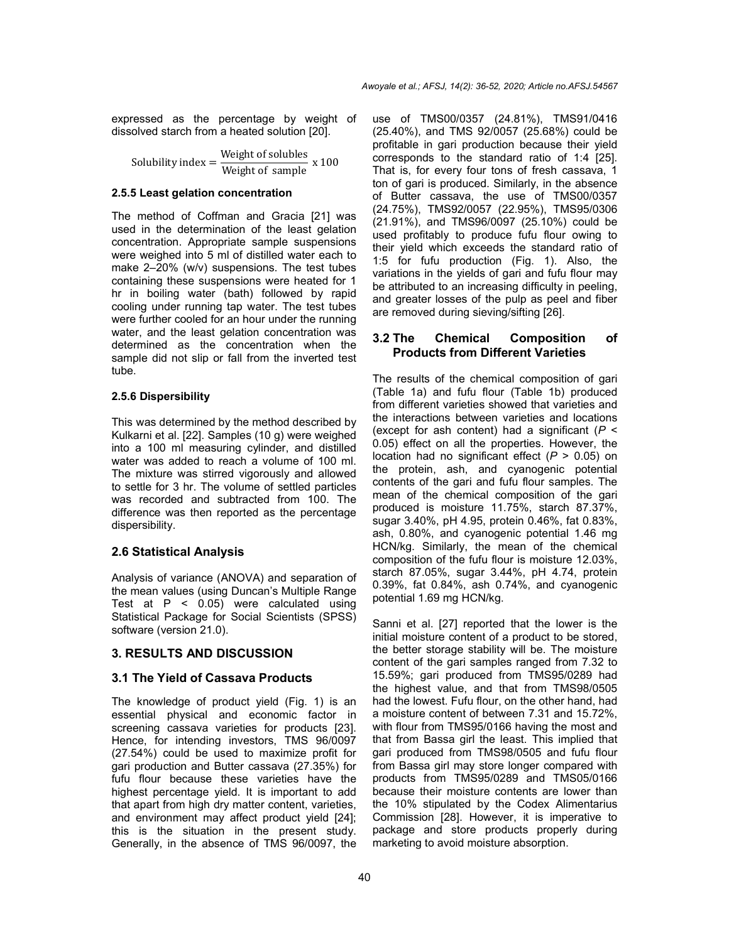expressed as the percentage by weight of dissolved starch from a heated solution [20].

Solubility index  $=$   $\frac{\text{Weight of solubes}}{\text{Weight of sample}}$  x 100

#### **2.5.5 Least gelation concentration**

The method of Coffman and Gracia [21] was used in the determination of the least gelation concentration. Appropriate sample suspensions were weighed into 5 ml of distilled water each to make 2-20% (w/v) suspensions. The test tubes containing these suspensions were heated for 1 hr in boiling water (bath) followed by rapid cooling under running tap water. The test tubes were further cooled for an hour under the running water, and the least gelation concentration was determined as the concentration when the sample did not slip or fall from the inverted test tube.

#### **2.5.6 Dispersibility**

This was determined by the method described by Kulkarni et al. [22]. Samples (10 g) were weighed into a 100 ml measuring cylinder, and distilled water was added to reach a volume of 100 ml. The mixture was stirred vigorously and allowed to settle for 3 hr. The volume of settled particles was recorded and subtracted from 100. The difference was then reported as the percentage dispersibility.

### **2.6 Statistical Analysis**

Analysis of variance (ANOVA) and separation of the mean values (using Duncan's Multiple Range Test at  $P \leq 0.05$ ) were calculated using Statistical Package for Social Scientists (SPSS) software (version 21.0).

# **3. RESULTS AND DISCUSSION**

### **3.1 The Yield of Cassava Products**

The knowledge of product yield (Fig. 1) is an essential physical and economic factor in screening cassava varieties for products [23]. Hence, for intending investors, TMS 96/0097 (27.54%) could be used to maximize profit for gari production and Butter cassava (27.35%) for fufu flour because these varieties have the highest percentage yield. It is important to add that apart from high dry matter content, varieties, and environment may affect product yield [24]; this is the situation in the present study. Generally, in the absence of TMS 96/0097, the use of TMS00/0357 (24.81%), TMS91/0416 (25.40%), and TMS 92/0057 (25.68%) could be profitable in gari production because their yield corresponds to the standard ratio of 1:4 [25]. That is, for every four tons of fresh cassava, 1 ton of gari is produced. Similarly, in the absence of Butter cassava, the use of TMS00/0357 (24.75%), TMS92/0057 (22.95%), TMS95/0306 (21.91%), and TMS96/0097 (25.10%) could be used profitably to produce fufu flour owing to their yield which exceeds the standard ratio of 1:5 for fufu production (Fig. 1). Also, the variations in the yields of gari and fufu flour may be attributed to an increasing difficulty in peeling, and greater losses of the pulp as peel and fiber are removed during sieving/sifting [26].

# **3.2 The Chemical Composition of Products from Different Varieties**

The results of the chemical composition of gari (Table 1a) and fufu flour (Table 1b) produced from different varieties showed that varieties and the interactions between varieties and locations (except for ash content) had a significant (*P* < 0.05) effect on all the properties. However, the location had no significant effect (*P* > 0.05) on the protein, ash, and cyanogenic potential contents of the gari and fufu flour samples. The mean of the chemical composition of the gari produced is moisture 11.75%, starch 87.37%, sugar 3.40%, pH 4.95, protein 0.46%, fat 0.83%, ash, 0.80%, and cyanogenic potential 1.46 mg HCN/kg. Similarly, the mean of the chemical composition of the fufu flour is moisture 12.03%, starch 87.05%, sugar 3.44%, pH 4.74, protein 0.39%, fat 0.84%, ash 0.74%, and cyanogenic potential 1.69 mg HCN/kg.

Sanni et al. [27] reported that the lower is the initial moisture content of a product to be stored, the better storage stability will be. The moisture content of the gari samples ranged from 7.32 to 15.59%; gari produced from TMS95/0289 had the highest value, and that from TMS98/0505 had the lowest. Fufu flour, on the other hand, had a moisture content of between 7.31 and 15.72%, with flour from TMS95/0166 having the most and that from Bassa girl the least. This implied that gari produced from TMS98/0505 and fufu flour from Bassa girl may store longer compared with products from TMS95/0289 and TMS05/0166 because their moisture contents are lower than the 10% stipulated by the Codex Alimentarius Commission [28]. However, it is imperative to package and store products properly during marketing to avoid moisture absorption.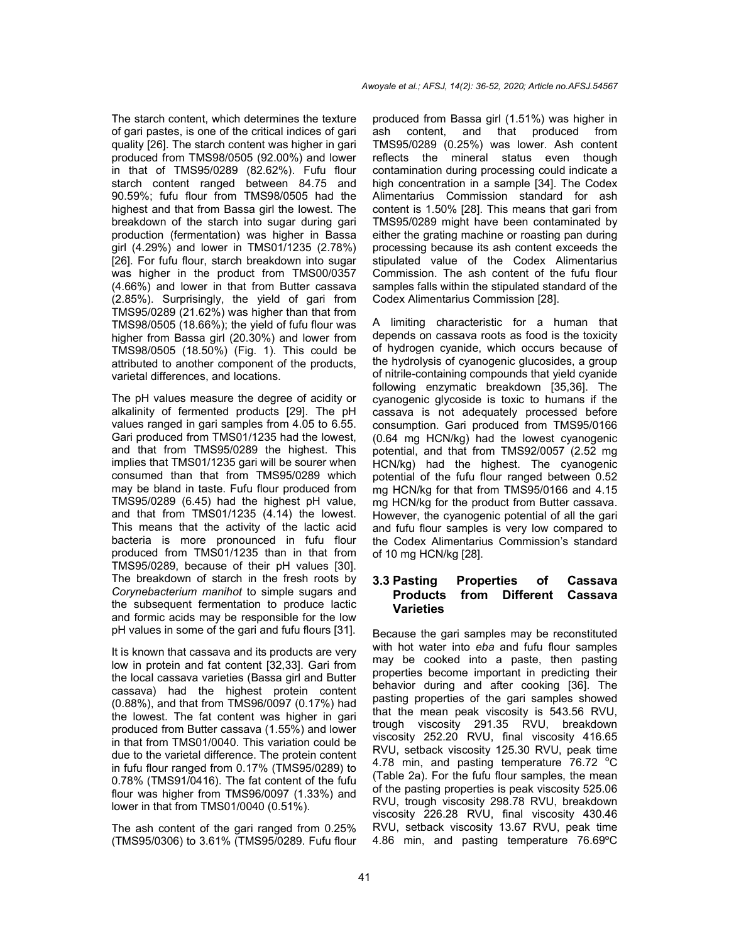The starch content, which determines the texture of gari pastes, is one of the critical indices of gari quality [26]. The starch content was higher in gari produced from TMS98/0505 (92.00%) and lower in that of TMS95/0289 (82.62%). Fufu flour starch content ranged between 84.75 and 90.59%; fufu flour from TMS98/0505 had the highest and that from Bassa girl the lowest. The breakdown of the starch into sugar during gari production (fermentation) was higher in Bassa girl (4.29%) and lower in TMS01/1235 (2.78%) [26]. For fufu flour, starch breakdown into sugar was higher in the product from TMS00/0357 (4.66%) and lower in that from Butter cassava (2.85%). Surprisingly, the yield of gari from TMS95/0289 (21.62%) was higher than that from TMS98/0505 (18.66%); the yield of fufu flour was higher from Bassa girl (20.30%) and lower from TMS98/0505 (18.50%) (Fig. 1). This could be attributed to another component of the products, varietal differences, and locations.

The pH values measure the degree of acidity or alkalinity of fermented products [29]. The pH values ranged in gari samples from 4.05 to 6.55. Gari produced from TMS01/1235 had the lowest, and that from TMS95/0289 the highest. This implies that TMS01/1235 gari will be sourer when consumed than that from TMS95/0289 which may be bland in taste. Fufu flour produced from TMS95/0289 (6.45) had the highest pH value, and that from TMS01/1235 (4.14) the lowest. This means that the activity of the lactic acid bacteria is more pronounced in fufu flour produced from TMS01/1235 than in that from TMS95/0289, because of their pH values [30]. The breakdown of starch in the fresh roots by *Corynebacterium manihot* to simple sugars and the subsequent fermentation to produce lactic and formic acids may be responsible for the low pH values in some of the gari and fufu flours [31].

It is known that cassava and its products are very low in protein and fat content [32,33]. Gari from the local cassava varieties (Bassa girl and Butter cassava) had the highest protein content (0.88%), and that from TMS96/0097 (0.17%) had the lowest. The fat content was higher in gari produced from Butter cassava (1.55%) and lower in that from TMS01/0040. This variation could be due to the varietal difference. The protein content in fufu flour ranged from 0.17% (TMS95/0289) to 0.78% (TMS91/0416). The fat content of the fufu flour was higher from TMS96/0097 (1.33%) and lower in that from TMS01/0040 (0.51%).

The ash content of the gari ranged from 0.25% (TMS95/0306) to 3.61% (TMS95/0289. Fufu flour produced from Bassa girl (1.51%) was higher in ash content, and that produced from TMS95/0289 (0.25%) was lower. Ash content reflects the mineral status even though contamination during processing could indicate a high concentration in a sample [34]. The Codex Alimentarius Commission standard for ash content is 1.50% [28]. This means that gari from TMS95/0289 might have been contaminated by either the grating machine or roasting pan during processing because its ash content exceeds the stipulated value of the Codex Alimentarius Commission. The ash content of the fufu flour samples falls within the stipulated standard of the Codex Alimentarius Commission [28].

A limiting characteristic for a human that depends on cassava roots as food is the toxicity of hydrogen cyanide, which occurs because of the hydrolysis of cyanogenic glucosides, a group of nitrile-containing compounds that yield cyanide following enzymatic breakdown [35,36]. The cyanogenic glycoside is toxic to humans if the cassava is not adequately processed before consumption. Gari produced from TMS95/0166 (0.64 mg HCN/kg) had the lowest cyanogenic potential, and that from TMS92/0057 (2.52 mg HCN/kg) had the highest. The cyanogenic potential of the fufu flour ranged between 0.52 mg HCN/kg for that from TMS95/0166 and 4.15 mg HCN/kg for the product from Butter cassava. However, the cyanogenic potential of all the gari and fufu flour samples is very low compared to the Codex Alimentarius Commission's standard of 10 mg HCN/kg [28].

# **3.3 Pasting Properties of Cassava Products from Different Cassava Varieties**

Because the gari samples may be reconstituted with hot water into *eba* and fufu flour samples may be cooked into a paste, then pasting properties become important in predicting their behavior during and after cooking [36]. The pasting properties of the gari samples showed that the mean peak viscosity is 543.56 RVU, trough viscosity 291.35 RVU, breakdown viscosity 252.20 RVU, final viscosity 416.65 RVU, setback viscosity 125.30 RVU, peak time 4.78 min, and pasting temperature 76.72 °C (Table 2a). For the fufu flour samples, the mean of the pasting properties is peak viscosity 525.06 RVU, trough viscosity 298.78 RVU, breakdown viscosity 226.28 RVU, final viscosity 430.46 RVU, setback viscosity 13.67 RVU, peak time 4.86 min, and pasting temperature 76.69ºC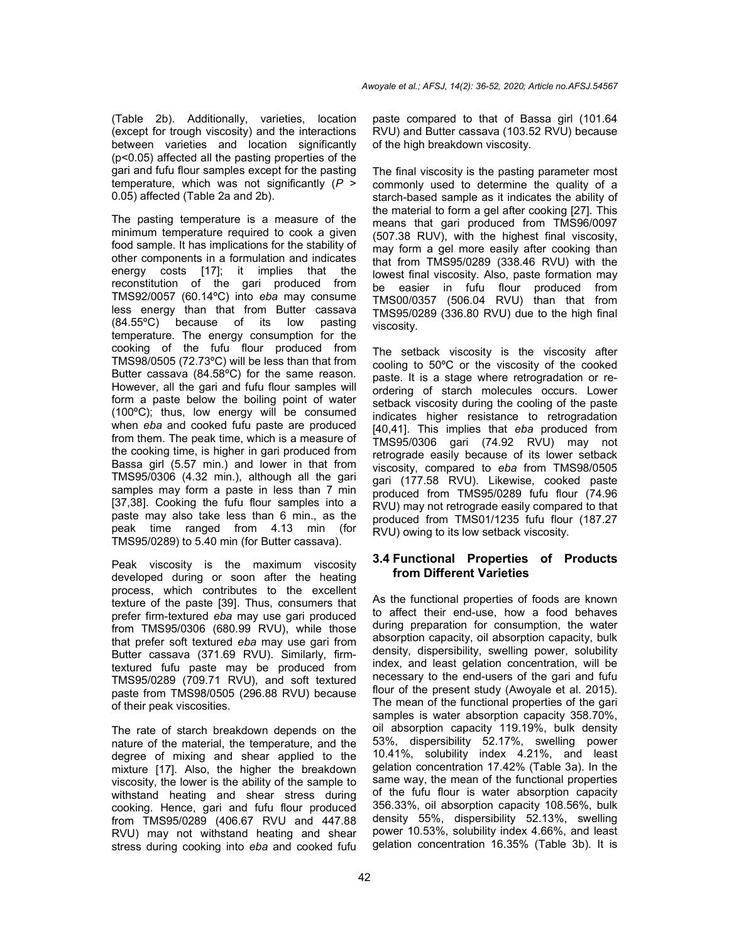(Table 2b). Additionally, varieties, location (except for trough viscosity) and the interactions between varieties and location significantly (p<0.05) affected all the pasting properties of the gari and fufu flour samples except for the pasting temperature, which was not significantly (*P* > 0.05) affected (Table 2a and 2b).

The pasting temperature is a measure of the minimum temperature required to cook a given food sample. It has implications for the stability of other components in a formulation and indicates energy costs [17]; it implies that the reconstitution of the gari produced from TMS92/0057 (60.14ºC) into *eba* may consume less energy than that from Butter cassava (84.55ºC) because of its low pasting temperature. The energy consumption for the cooking of the fufu flour produced from TMS98/0505 (72.73ºC) will be less than that from Butter cassava (84.58ºC) for the same reason. However, all the gari and fufu flour samples will form a paste below the boiling point of water (100ºC); thus, low energy will be consumed when *eba* and cooked fufu paste are produced from them. The peak time, which is a measure of the cooking time, is higher in gari produced from Bassa girl (5.57 min.) and lower in that from TMS95/0306 (4.32 min.), although all the gari samples may form a paste in less than 7 min [37,38]. Cooking the fufu flour samples into a paste may also take less than 6 min., as the peak time ranged from 4.13 min (for TMS95/0289) to 5.40 min (for Butter cassava).

Peak viscosity is the maximum viscosity developed during or soon after the heating process, which contributes to the excellent texture of the paste [39]. Thus, consumers that prefer firm-textured *eba* may use gari produced from TMS95/0306 (680.99 RVU), while those that prefer soft textured *eba* may use gari from Butter cassava (371.69 RVU). Similarly, firmtextured fufu paste may be produced from TMS95/0289 (709.71 RVU), and soft textured paste from TMS98/0505 (296.88 RVU) because of their peak viscosities.

The rate of starch breakdown depends on the nature of the material, the temperature, and the degree of mixing and shear applied to the mixture [17]. Also, the higher the breakdown viscosity, the lower is the ability of the sample to withstand heating and shear stress during cooking. Hence, gari and fufu flour produced from TMS95/0289 (406.67 RVU and 447.88 RVU) may not withstand heating and shear stress during cooking into *eba* and cooked fufu paste compared to that of Bassa girl (101.64 RVU) and Butter cassava (103.52 RVU) because of the high breakdown viscosity.

The final viscosity is the pasting parameter most commonly used to determine the quality of a starch-based sample as it indicates the ability of the material to form a gel after cooking [27]. This means that gari produced from TMS96/0097 (507.38 RUV), with the highest final viscosity, may form a gel more easily after cooking than that from TMS95/0289 (338.46 RVU) with the lowest final viscosity. Also, paste formation may be easier in fufu flour produced from TMS00/0357 (506.04 RVU) than that from TMS95/0289 (336.80 RVU) due to the high final viscosity.

The setback viscosity is the viscosity after cooling to 50ºC or the viscosity of the cooked paste. It is a stage where retrogradation or reordering of starch molecules occurs. Lower setback viscosity during the cooling of the paste indicates higher resistance to retrogradation [40,41]. This implies that *eba* produced from TMS95/0306 gari (74.92 RVU) may not retrograde easily because of its lower setback viscosity, compared to *eba* from TMS98/0505 gari (177.58 RVU). Likewise, cooked paste produced from TMS95/0289 fufu flour (74.96 RVU) may not retrograde easily compared to that produced from TMS01/1235 fufu flour (187.27 RVU) owing to its low setback viscosity.

# **3.4 Functional Properties of Products from Different Varieties**

As the functional properties of foods are known to affect their end-use, how a food behaves during preparation for consumption, the water absorption capacity, oil absorption capacity, bulk density, dispersibility, swelling power, solubility index, and least gelation concentration, will be necessary to the end-users of the gari and fufu flour of the present study (Awoyale et al. 2015). The mean of the functional properties of the gari samples is water absorption capacity 358.70%, oil absorption capacity 119.19%, bulk density 53%, dispersibility 52.17%, swelling power 10.41%, solubility index 4.21%, and least gelation concentration 17.42% (Table 3a). In the same way, the mean of the functional properties of the fufu flour is water absorption capacity 356.33%, oil absorption capacity 108.56%, bulk density 55%, dispersibility 52.13%, swelling power 10.53%, solubility index 4.66%, and least gelation concentration 16.35% (Table 3b). It is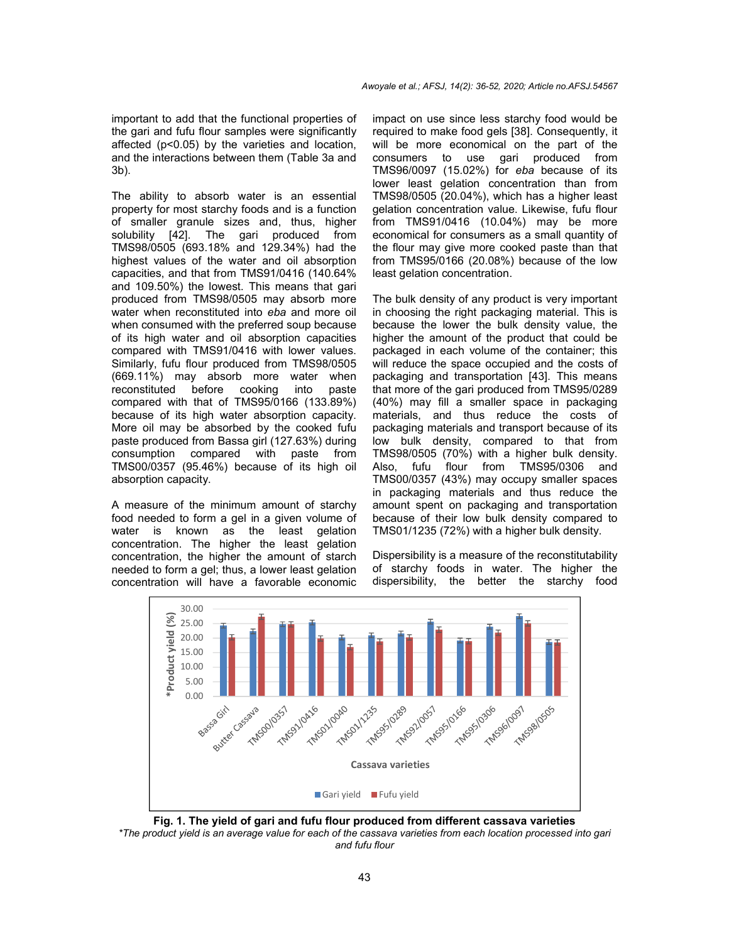important to add that the functional properties of the gari and fufu flour samples were significantly affected (p<0.05) by the varieties and location, and the interactions between them (Table 3a and 3b).

The ability to absorb water is an essential property for most starchy foods and is a function of smaller granule sizes and, thus, higher solubility [42]. The gari produced from TMS98/0505 (693.18% and 129.34%) had the highest values of the water and oil absorption capacities, and that from TMS91/0416 (140.64% and 109.50%) the lowest. This means that gari produced from TMS98/0505 may absorb more water when reconstituted into *eba* and more oil when consumed with the preferred soup because of its high water and oil absorption capacities compared with TMS91/0416 with lower values. Similarly, fufu flour produced from TMS98/0505 (669.11%) may absorb more water when reconstituted before cooking into paste compared with that of TMS95/0166 (133.89%) because of its high water absorption capacity. More oil may be absorbed by the cooked fufu paste produced from Bassa girl (127.63%) during consumption compared with paste from TMS00/0357 (95.46%) because of its high oil absorption capacity.

A measure of the minimum amount of starchy food needed to form a gel in a given volume of water is known as the least gelation concentration. The higher the least gelation concentration, the higher the amount of starch needed to form a gel; thus, a lower least gelation concentration will have a favorable economic

impact on use since less starchy food would be required to make food gels [38]. Consequently, it will be more economical on the part of the consumers to use gari produced from TMS96/0097 (15.02%) for *eba* because of its lower least gelation concentration than from TMS98/0505 (20.04%), which has a higher least gelation concentration value. Likewise, fufu flour from TMS91/0416 (10.04%) may be more economical for consumers as a small quantity of the flour may give more cooked paste than that from TMS95/0166 (20.08%) because of the low least gelation concentration.

The bulk density of any product is very important in choosing the right packaging material. This is because the lower the bulk density value, the higher the amount of the product that could be packaged in each volume of the container; this will reduce the space occupied and the costs of packaging and transportation [43]. This means that more of the gari produced from TMS95/0289 (40%) may fill a smaller space in packaging materials, and thus reduce the costs of packaging materials and transport because of its low bulk density, compared to that from TMS98/0505 (70%) with a higher bulk density. Also, fufu flour from TMS95/0306 and TMS00/0357 (43%) may occupy smaller spaces in packaging materials and thus reduce the amount spent on packaging and transportation because of their low bulk density compared to TMS01/1235 (72%) with a higher bulk density.

Dispersibility is a measure of the reconstitutability of starchy foods in water. The higher the dispersibility, the better the starchy food



**Fig. 1. The yield of gari and fufu flour produced from different cassava varieties** \*The product yield is an average value for each of the cassava varieties from each location processed into gari *and fufu flour*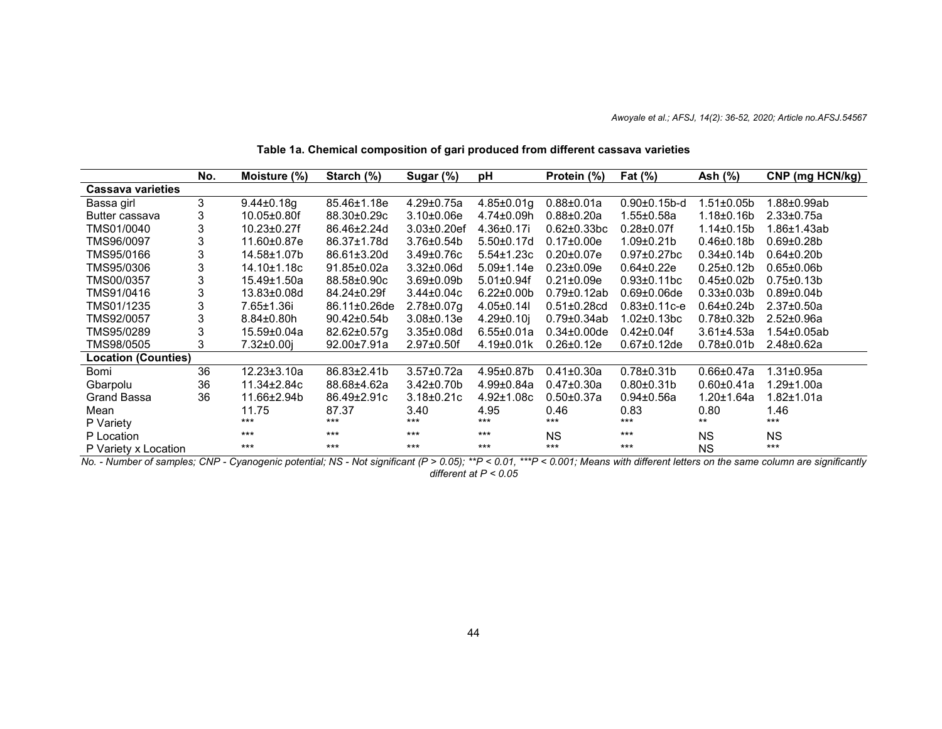|                            | No. | Moisture (%)      | Starch (%)         | Sugar (%)          | pH                | Protein (%)        | Fat (%)             | Ash (%)           | CNP (mg HCN/kg)   |
|----------------------------|-----|-------------------|--------------------|--------------------|-------------------|--------------------|---------------------|-------------------|-------------------|
| <b>Cassava varieties</b>   |     |                   |                    |                    |                   |                    |                     |                   |                   |
| Bassa girl                 | 3   | $9.44 \pm 0.18$ g | 85.46±1.18e        | $4.29 \pm 0.75a$   | $4.85 \pm 0.01$ g | $0.88 \pm 0.01a$   | $0.90 \pm 0.15$ b-d | $1.51 \pm 0.05$ b | .88±0.99ab        |
| Butter cassava             | 3   | 10.05±0.80f       | 88.30±0.29c        | $3.10 \pm 0.06e$   | 4.74±0.09h        | $0.88 \pm 0.20a$   | $1.55 \pm 0.58a$    | $1.18 \pm 0.16 b$ | $2.33 \pm 0.75a$  |
| TMS01/0040                 | 3   | $10.23 \pm 0.27f$ | 86.46±2.24d        | $3.03 \pm 0.20$ ef | 4.36±0.17i        | $0.62 \pm 0.33$ bc | $0.28 \pm 0.07$ f   | $1.14 \pm 0.15$ b | .86±1.43ab        |
| TMS96/0097                 | 3   | 11.60±0.87e       | 86.37±1.78d        | $3.76 \pm 0.54$    | 5.50±0.17d        | $0.17 \pm 0.00e$   | $1.09 \pm 0.21$ b   | $0.46 \pm 0.18$   | $0.69 + 0.28$ b   |
| TMS95/0166                 | 3   | 14.58±1.07b       | 86.61±3.20d        | $3.49 \pm 0.76c$   | 5.54±1.23c        | $0.20 \pm 0.07e$   | $0.97 \pm 0.27$ bc  | $0.34 \pm 0.14 b$ | $0.64 \pm 0.20$   |
| TMS95/0306                 | 3   | 14.10±1.18c       | $91.85 \pm 0.02a$  | $3.32 \pm 0.06$ d  | $5.09 \pm 1.14e$  | $0.23 \pm 0.09e$   | $0.64 \pm 0.22e$    | $0.25 \pm 0.12 b$ | $0.65 \pm 0.06$   |
| TMS00/0357                 | 3   | 15.49±1.50a       | 88.58±0.90c        | $3.69 \pm 0.09 b$  | $5.01 \pm 0.94$ f | $0.21 \pm 0.09e$   | $0.93 \pm 0.11$ bc  | $0.45 \pm 0.02 b$ | $0.75 \pm 0.13 b$ |
| TMS91/0416                 | 3   | 13.83±0.08d       | 84.24±0.29f        | $3.44 \pm 0.04c$   | $6.22 \pm 0.00$   | $0.79 \pm 0.12$ ab | $0.69 \pm 0.06$ de  | $0.33 \pm 0.03 b$ | $0.89 \pm 0.04$   |
| TMS01/1235                 | 3   | 7.65±1.36i        | 86.11±0.26de       | $2.78 \pm 0.07$ g  | $4.05 \pm 0.141$  | $0.51 \pm 0.28$ cd | $0.83 \pm 0.11$ c-e | $0.64 \pm 0.24$ b | $2.37 \pm 0.50a$  |
| TMS92/0057                 | 3   | $8.84 \pm 0.80 h$ | 90.42±0.54b        | $3.08 \pm 0.13e$   | $4.29 \pm 0.10$ j | $0.79 \pm 0.34$ ab | $1.02 \pm 0.13$ bc  | $0.78 + 0.32b$    | $2.52 \pm 0.96a$  |
| TMS95/0289                 | 3   | 15.59±0.04a       | $82.62 \pm 0.57$ g | $3.35 \pm 0.08$ d  | $6.55 \pm 0.01a$  | $0.34 \pm 0.00$ de | $0.42 \pm 0.04$ f   | $3.61 \pm 4.53a$  | $.54 \pm 0.05$ ab |
| TMS98/0505                 | 3   | 7.32±0.00i        | 92.00±7.91a        | $2.97 \pm 0.50$ f  | $4.19 \pm 0.01k$  | $0.26 \pm 0.12e$   | $0.67 \pm 0.12$ de  | $0.78 + 0.01$     | $2.48 \pm 0.62a$  |
| <b>Location (Counties)</b> |     |                   |                    |                    |                   |                    |                     |                   |                   |
| Bomi                       | 36  | $12.23 \pm 3.10a$ | 86.83±2.41b        | $3.57 \pm 0.72a$   | 4.95±0.87b        | $0.41 \pm 0.30a$   | $0.78 \pm 0.31 b$   | $0.66 \pm 0.47a$  | 1.31±0.95a        |
| Gbarpolu                   | 36  | 11.34±2.84c       | 88.68±4.62a        | $3.42 \pm 0.70$    | $4.99 \pm 0.84a$  | $0.47 \pm 0.30a$   | $0.80 \pm 0.31$ b   | $0.60 \pm 0.41a$  | .29±1.00a         |
| Grand Bassa                | 36  | 11.66±2.94b       | 86.49±2.91c        | $3.18 \pm 0.21c$   | $4.92 \pm 1.08c$  | $0.50 \pm 0.37a$   | $0.94 \pm 0.56a$    | $1.20 \pm 1.64a$  | $.82 \pm 1.01a$   |
| Mean                       |     | 11.75             | 87.37              | 3.40               | 4.95              | 0.46               | 0.83                | 0.80              | 1.46              |
| P Variety                  |     | $***$             | $***$              | $***$              | $***$             | $***$              | $***$               | $***$             | $***$             |
| P Location                 |     | $***$             | $***$              | $***$              | $***$             | <b>NS</b>          | $***$               | <b>NS</b>         | <b>NS</b>         |
| P Variety x Location       |     | $***$             | $***$              | $***$              | $***$             | $***$              | $***$               | <b>NS</b>         | $***$             |

**Table 1a. Chemical composition of gari produced from different cassava varieties**

No. - Number of samples; CNP - Cyanogenic potential; NS - Not significant (P > 0.05); \*\*P < 0.01, \*\*\*P < 0.001; Means with different letters on the same column are significantly *different at P < 0.05*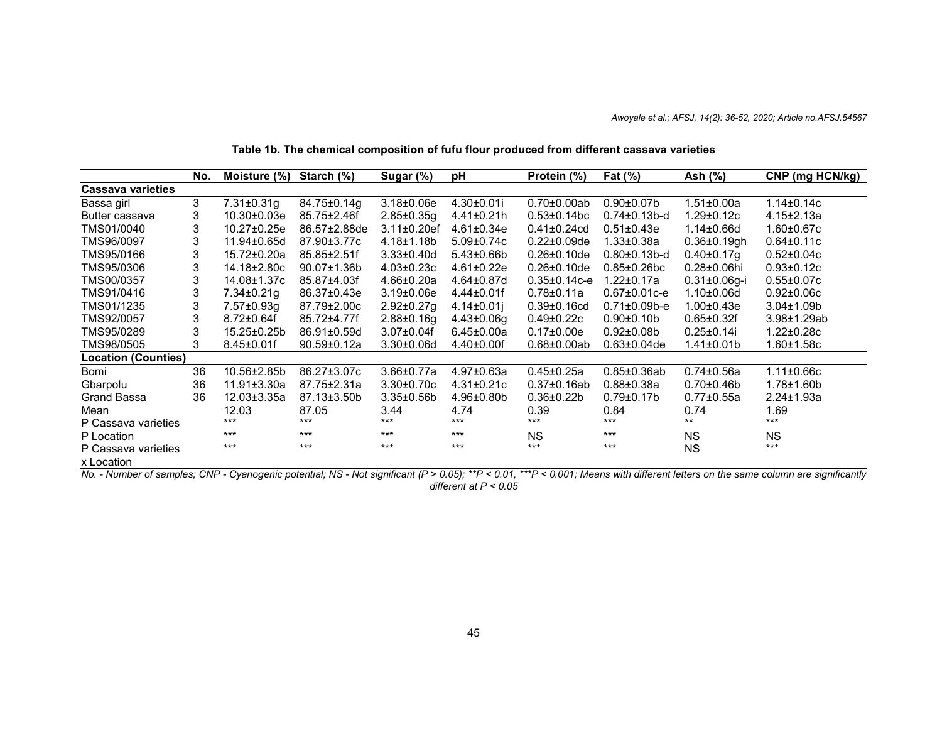|                                   | No. | Moisture (%)      | Starch $(\%)$       | Sugar (%)          | pH                | Protein (%)         | Fat $(\%)$          | Ash (%)             | CNP (mg HCN/kg)   |
|-----------------------------------|-----|-------------------|---------------------|--------------------|-------------------|---------------------|---------------------|---------------------|-------------------|
| <b>Cassava varieties</b>          |     |                   |                     |                    |                   |                     |                     |                     |                   |
| Bassa girl                        | 3   | $7.31 \pm 0.31$ g | 84.75±0.14g         | $3.18 \pm 0.06e$   | $4.30 \pm 0.01$ i | $0.70 \pm 0.00$ ab  | $0.90 \pm 0.07$ b   | $1.51 \pm 0.00a$    | $1.14 \pm 0.14c$  |
| Butter cassava                    | 3   | 10.30±0.03e       | $85.75 \pm 2.46f$   | $2.85 \pm 0.35$ g  | $4.41 \pm 0.21$ h | $0.53 \pm 0.14$ bc  | $0.74 \pm 0.13$ b-d | 1.29±0.12c          | $4.15 \pm 2.13a$  |
| TMS01/0040                        | 3   | $10.27 \pm 0.25e$ | $86.57 \pm 2.88$ de | $3.11 \pm 0.20$ ef | $4.61 \pm 0.34e$  | $0.41 \pm 0.24$ cd  | $0.51 \pm 0.43e$    | $1.14 \pm 0.66$ d   | $1.60 \pm 0.67$ c |
| TMS96/0097                        | 3   | 11.94±0.65d       | 87.90±3.77c         | $4.18 + 1.18$      | $5.09 \pm 0.74$ c | $0.22 \pm 0.09$ de  | $1.33 \pm 0.38a$    | $0.36 \pm 0.19$ gh  | $0.64 \pm 0.11c$  |
| TMS95/0166                        | 3   | 15.72±0.20a       | $85.85 \pm 2.51$ f  | $3.33 \pm 0.40$ d  | $5.43 \pm 0.66$ b | $0.26 \pm 0.10$ de  | $0.80 \pm 0.13$ b-d | $0.40 \pm 0.17$ g   | $0.52 \pm 0.04c$  |
| TMS95/0306                        | 3   | 14.18±2.80c       | $90.07 \pm 1.36 b$  | $4.03 \pm 0.23c$   | $4.61 \pm 0.22e$  | $0.26 \pm 0.10$ de  | $0.85 \pm 0.26$ bc  | $0.28 \pm 0.06$ hi  | $0.93 \pm 0.12c$  |
| TMS00/0357                        | 3   | 14.08±1.37c       | 85.87±4.03f         | $4.66 \pm 0.20a$   | $4.64 \pm 0.87$ d | $0.35 \pm 0.14$ c-e | $1.22 \pm 0.17a$    | $0.31 \pm 0.06$ g-i | $0.55 \pm 0.07c$  |
| TMS91/0416                        | 3   | 7.34±0.21g        | 86.37±0.43e         | $3.19 \pm 0.06e$   | $4.44 \pm 0.01$ f | $0.78 \pm 0.11a$    | $0.67 \pm 0.01$ c-e | $1.10 \pm 0.06$ d   | $0.92 \pm 0.06c$  |
| TMS01/1235                        | 3   | 7.57±0.93g        | 87.79±2.00c         | $2.92 \pm 0.27$ g  | $4.14 \pm 0.01$   | $0.39 \pm 0.16$ cd  | $0.71 \pm 0.09$ b-e | $1.00 \pm 0.43e$    | $3.04 \pm 1.09$   |
| TMS92/0057                        |     | $8.72 \pm 0.64$ f | 85.72±4.77f         | $2.88 \pm 0.16$ g  | $4.43 \pm 0.06$ g | $0.49 \pm 0.22c$    | $0.90 + 0.10$       | $0.65 \pm 0.32f$    | $3.98 + 1.29$ ab  |
| TMS95/0289                        |     | 15.25±0.25b       | 86.91±0.59d         | $3.07 \pm 0.04$ f  | $6.45 \pm 0.00a$  | $0.17 \pm 0.00e$    | $0.92 \pm 0.08 b$   | $0.25 \pm 0.14$ i   | $1.22 \pm 0.28c$  |
| TMS98/0505                        | 3   | $8.45 \pm 0.01$ f | $90.59 \pm 0.12a$   | $3.30{\pm}0.06$ d  | $4.40 \pm 0.00$ f | $0.68 \pm 0.00$ ab  | $0.63 \pm 0.04$ de  | 1.41±0.01b          | 1.60±1.58c        |
| <b>Location (Counties)</b>        |     |                   |                     |                    |                   |                     |                     |                     |                   |
| Bomi                              | 36  | 10.56±2.85b       | 86.27±3.07c         | $3.66 \pm 0.77a$   | $4.97 \pm 0.63a$  | $0.45 \pm 0.25a$    | $0.85 \pm 0.36$ ab  | $0.74 \pm 0.56a$    | $1.11 \pm 0.66c$  |
| Gbarpolu                          | 36  | $11.91 \pm 3.30a$ | 87.75±2.31a         | $3.30 \pm 0.70c$   | $4.31 \pm 0.21c$  | $0.37 \pm 0.16$ ab  | $0.88 \pm 0.38a$    | $0.70{\pm}0.46b$    | $1.78 \pm 1.60 b$ |
| Grand Bassa                       | 36  | $12.03 \pm 3.35a$ | $87.13 \pm 3.50$    | $3.35 \pm 0.56$    | $4.96 \pm 0.80$   | $0.36 \pm 0.22 b$   | $0.79 \pm 0.17$ b   | $0.77 \pm 0.55a$    | $2.24 \pm 1.93a$  |
| Mean                              |     | 12.03             | 87.05               | 3.44               | 4.74              | 0.39                | 0.84                | 0.74                | 1.69              |
| P Cassava varieties               |     | $***$             | ***                 | $***$              | $***$             | ***                 | $***$               | $***$               | $***$             |
| P Location                        |     | $***$             | $***$               | $***$              | $***$             | <b>NS</b>           | $***$               | <b>NS</b>           | <b>NS</b>         |
| P Cassava varieties<br>x Location |     | $***$             | $***$               | $***$              | $***$             | $***$               | ***                 | <b>NS</b>           | $***$             |

# **Table 1b. The chemical composition of fufu flour produced from different cassava varieties**

No. - Number of samples; CNP - Cyanogenic potential; NS - Not significant (P > 0.05); \*\*P < 0.01, \*\*\*P < 0.001; Means with different letters on the same column are significantly *different at P < 0.05*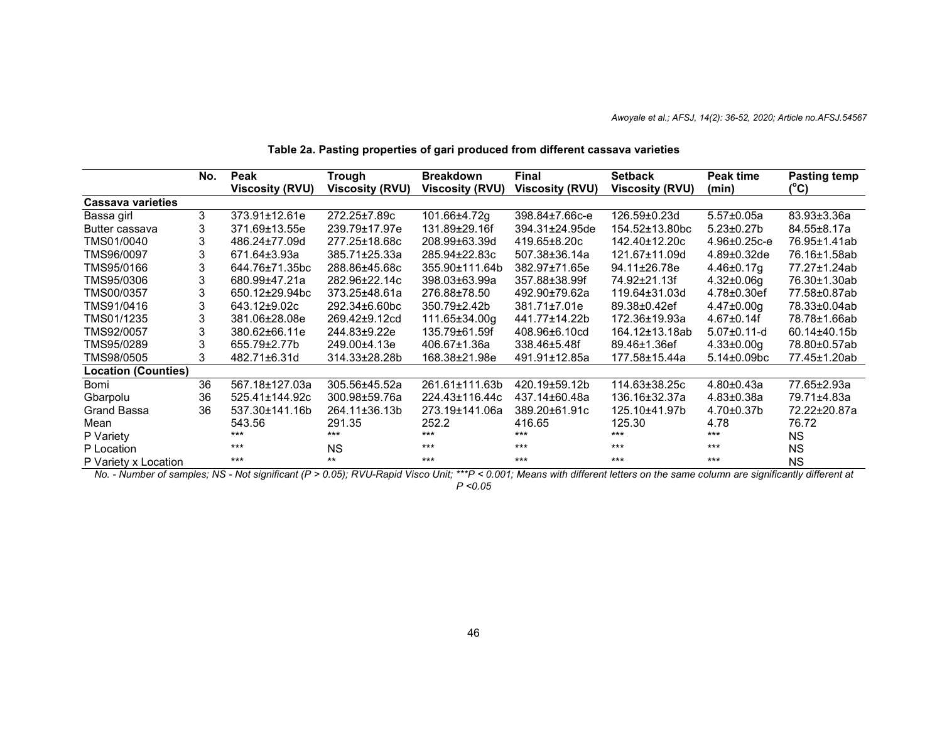|                            | No. | Peak                   | Trough              | <b>Breakdown</b>       | Final                  | <b>Setback</b>         | Peak time           | Pasting temp      |
|----------------------------|-----|------------------------|---------------------|------------------------|------------------------|------------------------|---------------------|-------------------|
|                            |     | <b>Viscosity (RVU)</b> | Viscosity (RVU)     | <b>Viscosity (RVU)</b> | <b>Viscosity (RVU)</b> | <b>Viscosity (RVU)</b> | (min)               | (°C)              |
| Cassava varieties          |     |                        |                     |                        |                        |                        |                     |                   |
| Bassa girl                 | 3   | $373.91 \pm 12.61e$    | 272.25±7.89c        | 101.66±4.72g           | 398.84±7.66c-e         | 126.59±0.23d           | $5.57 \pm 0.05a$    | $83.93 \pm 3.36a$ |
| Butter cassava             |     | 371.69±13.55e          | 239.79±17.97e       | 131.89±29.16f          | 394.31±24.95de         | 154.52±13.80bc         | $5.23 \pm 0.27$ b   | 84.55±8.17a       |
| TMS01/0040                 |     | 486.24±77.09d          | 277.25±18.68c       | 208.99±63.39d          | 419.65±8.20c           | 142.40±12.20c          | $4.96 \pm 0.25$ c-e | 76.95±1.41ab      |
| TMS96/0097                 | 3   | 671.64±3.93a           | 385.71±25.33a       | 285.94±22.83c          | 507.38±36.14a          | 121.67±11.09d          | $4.89 \pm 0.32$ de  | 76.16±1.58ab      |
| TMS95/0166                 |     | 644.76±71.35bc         | 288.86±45.68c       | 355.90±111.64b         | 382.97±71.65e          | 94.11±26.78e           | 4.46±0.17g          | 77.27±1.24ab      |
| TMS95/0306                 |     | 680.99±47.21a          | 282.96±22.14c       | 398.03±63.99a          | 357.88±38.99f          | 74.92±21.13f           | $4.32 \pm 0.06$ g   | 76.30±1.30ab      |
| TMS00/0357                 |     | 650.12±29.94bc         | $373.25 \pm 48.61a$ | 276.88±78.50           | 492.90±79.62a          | 119.64±31.03d          | $4.78 \pm 0.30$ ef  | 77.58±0.87ab      |
| TMS91/0416                 | 3   | 643.12±9.02c           | 292.34±6.60bc       | 350.79±2.42b           | 381.71±7.01e           | 89.38±0.42ef           | $4.47 \pm 0.00$ g   | 78.33±0.04ab      |
| TMS01/1235                 |     | 381.06±28.08e          | 269.42±9.12cd       | 111.65±34.00g          | 441.77±14.22b          | 172.36±19.93a          | $4.67 \pm 0.14$ f   | 78.78±1.66ab      |
| TMS92/0057                 |     | 380.62±66.11e          | 244.83±9.22e        | 135.79±61.59f          | 408.96±6.10cd          | 164.12±13.18ab         | $5.07 \pm 0.11$ -d  | $60.14 \pm 40.15$ |
| TMS95/0289                 |     | 655.79±2.77b           | 249.00±4.13e        | 406.67±1.36a           | 338.46±5.48f           | 89.46±1.36ef           | $4.33 \pm 0.00$ g   | 78.80±0.57ab      |
| TMS98/0505                 | 3   | 482.71±6.31d           | 314.33±28.28b       | 168.38±21.98e          | 491.91±12.85a          | 177.58±15.44a          | $5.14 \pm 0.09$ bc  | 77.45±1.20ab      |
| <b>Location (Counties)</b> |     |                        |                     |                        |                        |                        |                     |                   |
| Bomi                       | 36  | 567.18±127.03a         | 305.56±45.52a       | 261.61±111.63b         | 420.19±59.12b          | 114.63±38.25c          | $4.80 \pm 0.43a$    | 77.65±2.93a       |
| Gbarpolu                   | 36  | 525.41±144.92c         | 300.98±59.76a       | 224.43±116.44c         | 437.14±60.48a          | 136.16±32.37a          | $4.83{\pm}0.38a$    | 79.71±4.83a       |
| Grand Bassa                | 36  | 537.30±141.16b         | 264.11±36.13b       | 273.19±141.06a         | 389.20±61.91c          | 125.10±41.97b          | $4.70 \pm 0.37$ b   | 72.22±20.87a      |
| Mean                       |     | 543.56                 | 291.35              | 252.2                  | 416.65                 | 125.30                 | 4.78                | 76.72             |
| P Variety                  |     | ***                    | $***$               | $***$                  | $***$                  | $***$                  | $***$               | NS.               |
| P Location                 |     | $***$                  | <b>NS</b>           | $***$                  | $***$                  | $***$                  | $***$               | <b>NS</b>         |
| P Variety x Location       |     | $***$                  | $***$               | $***$                  | $***$                  | $***$                  | $***$               | ΝS                |

# **Table 2a. Pasting properties of gari produced from different cassava varieties**

No. - Number of samples; NS - Not significant (P > 0.05); RVU-Rapid Visco Unit; \*\*\*P < 0.001; Means with different letters on the same column are significantly different at

*P <0.05*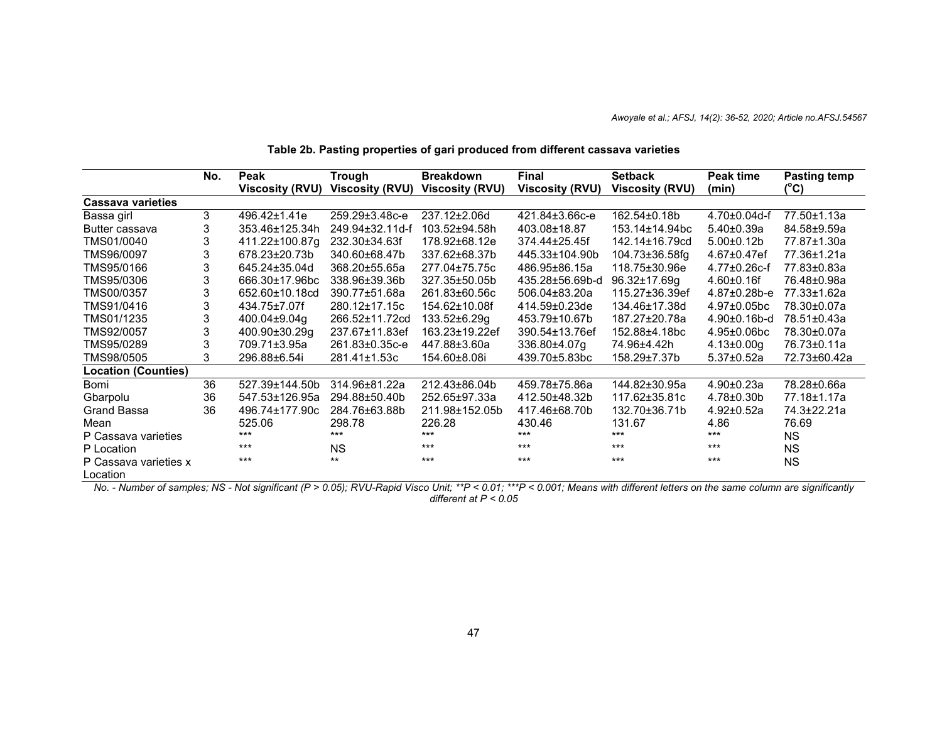|                                   | No. | Peak            | <b>Trough</b>          | <b>Breakdown</b> | Final                  | <b>Setback</b>         | Peak time           | <b>Pasting temp</b> |
|-----------------------------------|-----|-----------------|------------------------|------------------|------------------------|------------------------|---------------------|---------------------|
|                                   |     | Viscosity (RVU) | <b>Viscosity (RVU)</b> | Viscosity (RVU)  | <b>Viscosity (RVU)</b> | <b>Viscosity (RVU)</b> | (min)               | (°C)                |
| <b>Cassava varieties</b>          |     |                 |                        |                  |                        |                        |                     |                     |
| Bassa girl                        | 3   | 496.42±1.41e    | 259.29±3.48c-e         | 237.12±2.06d     | 421.84±3.66c-e         | 162.54±0.18b           | $4.70 \pm 0.04$ d-f | 77.50±1.13a         |
| Butter cassava                    | 3   | 353.46±125.34h  | 249.94±32.11d-f        | 103.52±94.58h    | 403.08±18.87           | 153.14±14.94bc         | $5.40 \pm 0.39a$    | 84.58±9.59a         |
| TMS01/0040                        | 3   | 411.22±100.87g  | 232.30±34.63f          | 178.92±68.12e    | 374.44±25.45f          | 142.14±16.79cd         | $5.00 \pm 0.12 b$   | 77.87±1.30a         |
| TMS96/0097                        |     | 678.23±20.73b   | 340.60±68.47b          | 337.62±68.37b    | 445.33±104.90b         | $104.73 \pm 36.58$ fg  | $4.67 \pm 0.47$ ef  | 77.36±1.21a         |
| TMS95/0166                        |     | 645.24±35.04d   | 368.20±55.65a          | 277.04±75.75c    | 486.95±86.15a          | 118.75±30.96e          | $4.77 \pm 0.26$ c-f | 77.83±0.83a         |
| TMS95/0306                        |     | 666.30±17.96bc  | 338.96±39.36b          | 327.35±50.05b    | 435.28±56.69b-d        | 96.32±17.69g           | $4.60 \pm 0.16f$    | 76.48±0.98a         |
| TMS00/0357                        |     | 652.60±10.18cd  | 390.77±51.68a          | 261.83±60.56c    | 506.04±83.20a          | 115.27±36.39ef         | $4.87 \pm 0.28$ b-e | 77.33±1.62a         |
| TMS91/0416                        |     | 434.75±7.07f    | 280.12±17.15c          | 154.62±10.08f    | 414.59±0.23de          | 134.46±17.38d          | $4.97 \pm 0.05$ bc  | 78.30±0.07a         |
| TMS01/1235                        |     | 400.04±9.04g    | 266.52±11.72cd         | 133.52±6.29g     | 453.79±10.67b          | 187.27±20.78a          | $4.90 \pm 0.16$ b-d | 78.51±0.43a         |
| TMS92/0057                        | 3   | 400.90±30.29g   | 237.67±11.83ef         | 163.23±19.22ef   | 390.54±13.76ef         | 152.88±4.18bc          | $4.95 \pm 0.06$ bc  | 78.30±0.07a         |
| TMS95/0289                        | 3   | 709.71±3.95a    | 261.83±0.35c-e         | 447.88±3.60a     | 336.80±4.07q           | 74.96±4.42h            | $4.13 \pm 0.00$ g   | 76.73±0.11a         |
| TMS98/0505                        | 3   | 296.88±6.54i    | 281.41±1.53c           | 154.60±8.08i     | 439.70±5.83bc          | 158.29±7.37b           | $5.37 \pm 0.52a$    | 72.73±60.42a        |
| <b>Location (Counties)</b>        |     |                 |                        |                  |                        |                        |                     |                     |
| Bomi                              | 36  | 527.39±144.50b  | 314.96±81.22a          | 212.43±86.04b    | 459.78±75.86a          | 144.82±30.95a          | $4.90 \pm 0.23a$    | 78.28±0.66a         |
| Gbarpolu                          | 36  | 547.53±126.95a  | 294.88±50.40b          | 252.65±97.33a    | 412.50±48.32b          | 117.62±35.81c          | $4.78 \pm 0.30 b$   | 77.18±1.17a         |
| <b>Grand Bassa</b>                | 36  | 496.74±177.90c  | 284.76±63.88b          | 211.98±152.05b   | 417.46±68.70b          | 132.70±36.71b          | $4.92 \pm 0.52a$    | 74.3±22.21a         |
| Mean                              |     | 525.06          | 298.78                 | 226.28           | 430.46                 | 131.67                 | 4.86                | 76.69               |
| P Cassava varieties               |     | $***$           | ***                    | ***              | ***                    | $***$                  | $***$               | <b>NS</b>           |
| P Location                        |     | $***$           | <b>NS</b>              | $***$            | $***$                  | $***$                  | $***$               | <b>NS</b>           |
| P Cassava varieties x<br>Location |     | $***$           | $***$                  | $***$            | $***$                  | $***$                  | $***$               | <b>NS</b>           |

# **Table 2b. Pasting properties of gari produced from different cassava varieties**

No. - Number of samples; NS - Not significant (P > 0.05); RVU-Rapid Visco Unit; \*\*P < 0.01; \*\*P < 0.001; Means with different letters on the same column are significantly *different at P < 0.05*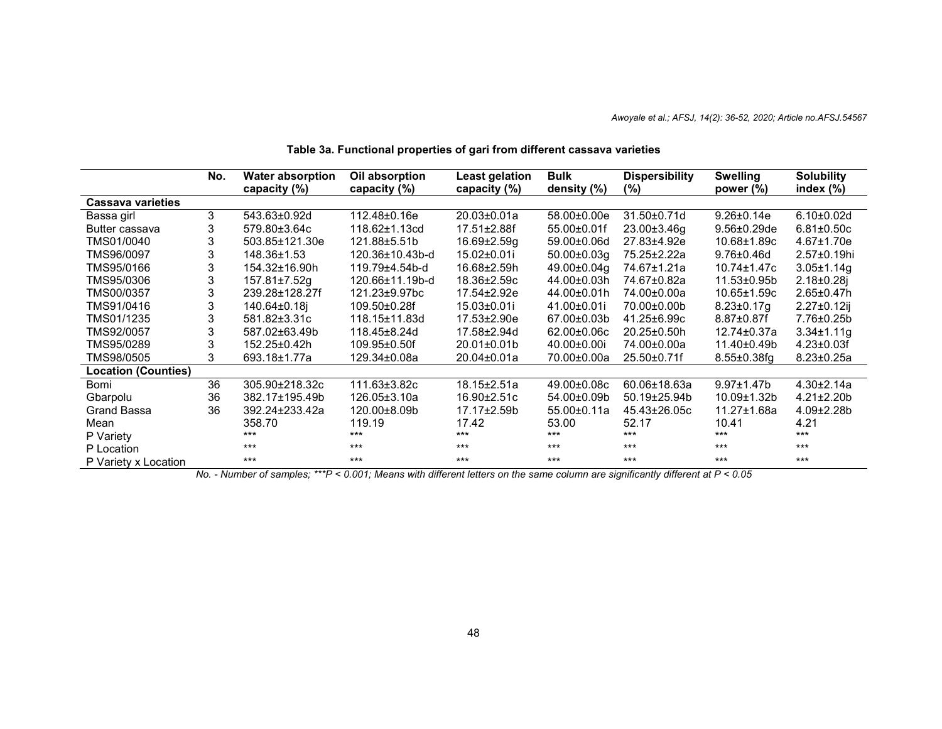|                            | No. | <b>Water absorption</b><br>capacity (%) | Oil absorption<br>capacity (%) | Least gelation<br>capacity (%) | <b>Bulk</b><br>density (%) | <b>Dispersibility</b><br>$(\%)$ | <b>Swelling</b><br>power $(\%)$ | <b>Solubility</b><br>index $(\%)$ |
|----------------------------|-----|-----------------------------------------|--------------------------------|--------------------------------|----------------------------|---------------------------------|---------------------------------|-----------------------------------|
| Cassava varieties          |     |                                         |                                |                                |                            |                                 |                                 |                                   |
| Bassa girl                 | 3   | 543.63±0.92d                            | 112.48±0.16e                   | $20.03 \pm 0.01a$              | 58.00±0.00e                | 31.50±0.71d                     | $9.26 \pm 0.14e$                | $6.10 \pm 0.02$ d                 |
| Butter cassava             | 3   | 579.80±3.64c                            | 118.62±1.13cd                  | 17.51±2.88f                    | $55.00 \pm 0.01$ f         | 23.00±3.46g                     | $9.56 \pm 0.29$ de              | $6.81 \pm 0.50c$                  |
| TMS01/0040                 |     | 503.85±121.30e                          | 121.88±5.51b                   | $16.69 \pm 2.59$ g             | 59.00±0.06d                | 27.83±4.92e                     | 10.68±1.89c                     | $4.67 \pm 1.70e$                  |
| TMS96/0097                 | 3   | 148.36±1.53                             | 120.36±10.43b-d                | 15.02±0.01i                    | $50.00 \pm 0.03$ g         | 75.25±2.22a                     | $9.76 \pm 0.46$ d               | $2.57 \pm 0.19$ hi                |
| TMS95/0166                 | 3   | 154.32±16.90h                           | 119.79±4.54b-d                 | 16.68±2.59h                    | 49.00±0.04q                | 74.67±1.21a                     | $10.74 \pm 1.47c$               | $3.05 \pm 1.14$ g                 |
| TMS95/0306                 |     | 157.81±7.52g                            | 120.66±11.19b-d                | 18.36±2.59c                    | 44.00±0.03h                | 74.67±0.82a                     | 11.53±0.95b                     | $2.18 \pm 0.28$ j                 |
| TMS00/0357                 |     | 239.28±128.27f                          | 121.23±9.97bc                  | 17.54±2.92e                    | 44.00±0.01h                | 74.00±0.00a                     | $10.65 \pm 1.59c$               | $2.65 \pm 0.47$ h                 |
| TMS91/0416                 |     | 140.64±0.18i                            | $109.50 \pm 0.28f$             | 15.03±0.01i                    | 41.00±0.01i                | 70.00±0.00b                     | $8.23 \pm 0.17$ g               | $2.27 \pm 0.12$ ij                |
| TMS01/1235                 | 3   | 581.82±3.31c                            | 118.15±11.83d                  | $17.53 \pm 2.90e$              | 67.00±0.03b                | 41.25±6.99c                     | $8.87 \pm 0.87$ f               | 7.76±0.25b                        |
| TMS92/0057                 |     | 587.02±63.49b                           | 118.45±8.24d                   | 17.58±2.94d                    | 62.00±0.06c                | 20.25±0.50h                     | 12.74±0.37a                     | $3.34 \pm 1.11$ g                 |
| TMS95/0289                 |     | 152.25±0.42h                            | 109.95±0.50f                   | 20.01±0.01b                    | $40.00 \pm 0.00$ i         | 74.00±0.00a                     | 11.40±0.49b                     | $4.23 \pm 0.03$ f                 |
| TMS98/0505                 | 3   | 693.18±1.77a                            | 129.34±0.08a                   | $20.04 \pm 0.01a$              | 70.00±0.00a                | $25.50 \pm 0.71$ f              | $8.55 \pm 0.38$ fg              | $8.23 \pm 0.25a$                  |
| <b>Location (Counties)</b> |     |                                         |                                |                                |                            |                                 |                                 |                                   |
| Bomi                       | 36  | 305.90±218.32c                          | 111.63±3.82c                   | $18.15 \pm 2.51a$              | 49.00±0.08c                | 60.06±18.63a                    | $9.97 \pm 1.47$ b               | $4.30 \pm 2.14a$                  |
| Gbarpolu                   | 36  | 382.17±195.49b                          | 126.05±3.10a                   | 16.90±2.51c                    | 54.00±0.09b                | 50.19±25.94b                    | 10.09±1.32b                     | $4.21 \pm 2.20$ b                 |
| <b>Grand Bassa</b>         | 36  | 392.24±233.42a                          | 120.00±8.09b                   | 17.17±2.59b                    | 55.00±0.11a                | 45.43±26.05c                    | 11.27±1.68a                     | $4.09 \pm 2.28 b$                 |
| Mean                       |     | 358.70                                  | 119.19                         | 17.42                          | 53.00                      | 52.17                           | 10.41                           | 4.21                              |
| P Variety                  |     | $***$                                   | $***$                          | $***$                          | $***$                      | $***$                           | $***$                           | $***$                             |
| P Location                 |     | $***$                                   | $***$                          | $***$                          | $***$                      | $***$                           | $***$                           | $***$                             |
| P Variety x Location       |     | $***$                                   | $***$                          | $***$                          | $***$                      | $***$                           | $***$                           | $***$                             |

# **Table 3a. Functional properties of gari from different cassava varieties**

No. - Number of samples; \*\*\*P < 0.001; Means with different letters on the same column are significantly different at P < 0.05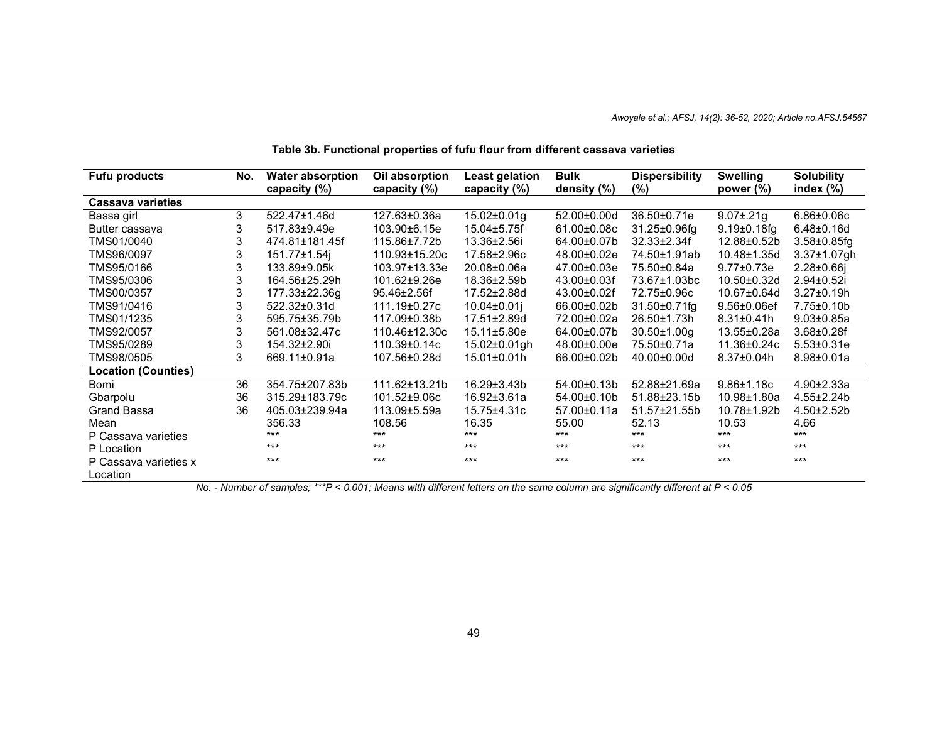| <b>Fufu products</b>       | No. | <b>Water absorption</b> | Oil absorption | Least gelation     | <b>Bulk</b> | <b>Dispersibility</b> | <b>Swelling</b>    | <b>Solubility</b>  |
|----------------------------|-----|-------------------------|----------------|--------------------|-------------|-----------------------|--------------------|--------------------|
|                            |     | capacity (%)            | capacity (%)   | capacity (%)       | density (%) | $(\%)$                | power $(\%)$       | index $(\%)$       |
| <b>Cassava varieties</b>   |     |                         |                |                    |             |                       |                    |                    |
| Bassa girl                 | 3   | 522.47±1.46d            | 127.63±0.36a   | $15.02 \pm 0.01$ g | 52.00±0.00d | 36.50±0.71e           | $9.07 \pm .21$ g   | $6.86 \pm 0.06c$   |
| Butter cassava             | 3   | 517.83±9.49e            | 103.90±6.15e   | $15.04 + 5.75f$    | 61.00±0.08c | 31.25±0.96fg          | $9.19 \pm 0.18$ fg | $6.48 \pm 0.16$ d  |
| TMS01/0040                 | 3   | 474.81±181.45f          | 115.86±7.72b   | 13.36±2.56i        | 64.00±0.07b | $32.33 \pm 2.34f$     | 12.88±0.52b        | $3.58 \pm 0.85$ fg |
| TMS96/0097                 | 3   | 151.77±1.54i            | 110.93±15.20c  | 17.58±2.96c        | 48.00±0.02e | 74.50±1.91ab          | 10.48±1.35d        | $3.37 \pm 1.07$ gh |
| TMS95/0166                 | 3   | 133.89±9.05k            | 103.97±13.33e  | 20.08±0.06a        | 47.00±0.03e | 75.50±0.84a           | $9.77 \pm 0.73e$   | $2.28 \pm 0.66$ j  |
| TMS95/0306                 | 3   | 164.56±25.29h           | 101.62±9.26e   | 18.36±2.59b        | 43.00±0.03f | 73.67±1.03bc          | 10.50±0.32d        | 2.94±0.52i         |
| TMS00/0357                 | 3   | 177.33±22.36g           | 95.46±2.56f    | 17.52±2.88d        | 43.00±0.02f | 72.75±0.96c           | 10.67±0.64d        | $3.27 \pm 0.19$ h  |
| TMS91/0416                 | 3   | 522.32±0.31d            | 111.19±0.27c   | $10.04 \pm 0.01$   | 66.00±0.02b | 31.50±0.71fg          | $9.56 \pm 0.06$ ef | $7.75 \pm 0.10$    |
| TMS01/1235                 | 3   | 595.75±35.79b           | 117.09±0.38b   | 17.51±2.89d        | 72.00±0.02a | 26.50±1.73h           | $8.31 \pm 0.41$ h  | $9.03 \pm 0.85$ a  |
| TMS92/0057                 | 3   | 561.08±32.47c           | 110.46±12.30c  | $15.11 \pm 5.80e$  | 64.00±0.07b | $30.50 \pm 1.00$ g    | 13.55±0.28a        | $3.68 \pm 0.28f$   |
| TMS95/0289                 | 3   | 154.32±2.90i            | 110.39±0.14c   | 15.02±0.01gh       | 48.00±0.00e | 75.50±0.71a           | 11.36±0.24c        | $5.53 \pm 0.31e$   |
| TMS98/0505                 | 3   | 669.11±0.91a            | 107.56±0.28d   | 15.01±0.01h        | 66.00±0.02b | 40.00±0.00d           | $8.37 \pm 0.04$ h  | $8.98 \pm 0.01a$   |
| <b>Location (Counties)</b> |     |                         |                |                    |             |                       |                    |                    |
| Bomi                       | 36  | 354.75±207.83b          | 111.62±13.21b  | $16.29 \pm 3.43 b$ | 54.00±0.13b | 52.88±21.69a          | $9.86 \pm 1.18$ c  | $4.90 \pm 2.33a$   |
| Gbarpolu                   | 36  | 315.29±183.79c          | 101.52±9.06c   | $16.92 \pm 3.61a$  | 54.00±0.10b | 51.88±23.15b          | 10.98±1.80a        | $4.55 \pm 2.24$ b  |
| Grand Bassa                | 36  | 405.03±239.94a          | 113.09±5.59a   | 15.75±4.31c        | 57.00±0.11a | 51.57±21.55b          | 10.78±1.92b        | $4.50 \pm 2.52$    |
| Mean                       |     | 356.33                  | 108.56         | 16.35              | 55.00       | 52.13                 | 10.53              | 4.66               |
| P Cassava varieties        |     | ***                     | ***            | ***                | $***$       | $***$                 | ***                | $***$              |
| P Location                 |     | ***                     | $***$          | $***$              | $***$       | $***$                 | $***$              | $***$              |
| P Cassava varieties x      |     | $***$                   | $***$          | $***$              | $***$       | $***$                 | $***$              | $***$              |
| Location                   |     |                         |                |                    |             |                       |                    |                    |

**Table 3b. Functional properties of fufu flour from different cassava varieties**

No. - Number of samples; \*\*\* $P < 0.001$ ; Means with different letters on the same column are significantly different at  $P < 0.05$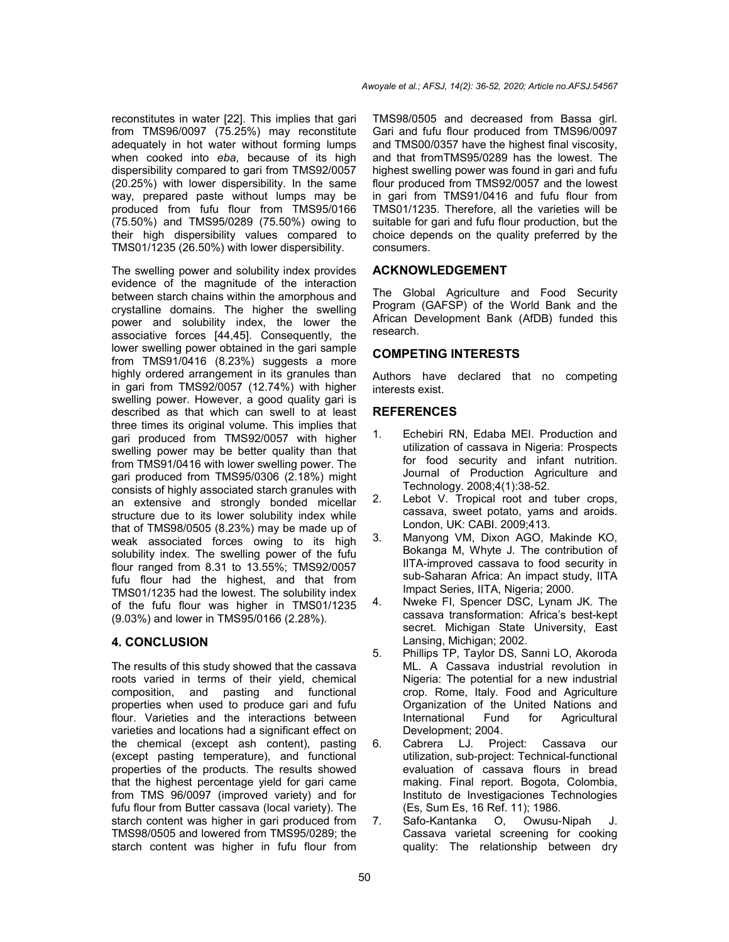reconstitutes in water [22]. This implies that gari from TMS96/0097 (75.25%) may reconstitute adequately in hot water without forming lumps when cooked into *eba*, because of its high dispersibility compared to gari from TMS92/0057 (20.25%) with lower dispersibility. In the same way, prepared paste without lumps may be produced from fufu flour from TMS95/0166 (75.50%) and TMS95/0289 (75.50%) owing to their high dispersibility values compared to TMS01/1235 (26.50%) with lower dispersibility.

The swelling power and solubility index provides evidence of the magnitude of the interaction between starch chains within the amorphous and crystalline domains. The higher the swelling power and solubility index, the lower the associative forces [44,45]. Consequently, the lower swelling power obtained in the gari sample from TMS91/0416 (8.23%) suggests a more highly ordered arrangement in its granules than in gari from TMS92/0057 (12.74%) with higher swelling power. However, a good quality gari is described as that which can swell to at least three times its original volume. This implies that gari produced from TMS92/0057 with higher swelling power may be better quality than that from TMS91/0416 with lower swelling power. The gari produced from TMS95/0306 (2.18%) might consists of highly associated starch granules with an extensive and strongly bonded micellar structure due to its lower solubility index while that of TMS98/0505 (8.23%) may be made up of weak associated forces owing to its high solubility index. The swelling power of the fufu flour ranged from 8.31 to 13.55%; TMS92/0057 fufu flour had the highest, and that from TMS01/1235 had the lowest. The solubility index of the fufu flour was higher in TMS01/1235 (9.03%) and lower in TMS95/0166 (2.28%).

# **4. CONCLUSION**

The results of this study showed that the cassava roots varied in terms of their yield, chemical composition, and pasting and functional properties when used to produce gari and fufu flour. Varieties and the interactions between varieties and locations had a significant effect on the chemical (except ash content), pasting (except pasting temperature), and functional properties of the products. The results showed that the highest percentage yield for gari came from TMS 96/0097 (improved variety) and for fufu flour from Butter cassava (local variety). The starch content was higher in gari produced from TMS98/0505 and lowered from TMS95/0289; the starch content was higher in fufu flour from

TMS98/0505 and decreased from Bassa girl. Gari and fufu flour produced from TMS96/0097 and TMS00/0357 have the highest final viscosity, and that fromTMS95/0289 has the lowest. The highest swelling power was found in gari and fufu flour produced from TMS92/0057 and the lowest in gari from TMS91/0416 and fufu flour from TMS01/1235. Therefore, all the varieties will be suitable for gari and fufu flour production, but the choice depends on the quality preferred by the consumers.

# **ACKNOWLEDGEMENT**

The Global Agriculture and Food Security Program (GAFSP) of the World Bank and the African Development Bank (AfDB) funded this research.

## **COMPETING INTERESTS**

Authors have declared that no competing interests exist.

## **REFERENCES**

- 1. Echebiri RN, Edaba MEI. Production and utilization of cassava in Nigeria: Prospects for food security and infant nutrition. Journal of Production Agriculture and Technology. 2008;4(1):38-52.
- 2. Lebot V. Tropical root and tuber crops, cassava, sweet potato, yams and aroids. London, UK: CABI. 2009;413.
- 3. Manyong VM, Dixon AGO, Makinde KO, Bokanga M, Whyte J. The contribution of IITA-improved cassava to food security in sub-Saharan Africa: An impact study, IITA Impact Series, IITA, Nigeria; 2000.
- 4. Nweke FI, Spencer DSC, Lynam JK. The cassava transformation: Africa's best-kept secret. Michigan State University, East Lansing, Michigan; 2002.
- 5. Phillips TP, Taylor DS, Sanni LO, Akoroda ML. A Cassava industrial revolution in Nigeria: The potential for a new industrial crop. Rome, Italy. Food and Agriculture Organization of the United Nations and International Fund for Agricultural Development; 2004.
- 6. Cabrera LJ. Project: Cassava our utilization, sub-project: Technical-functional evaluation of cassava flours in bread making. Final report. Bogota, Colombia, Instituto de Investigaciones Technologies (Es, Sum Es, 16 Ref. 11); 1986.
- 7. Safo-Kantanka O, Owusu-Nipah J. Cassava varietal screening for cooking quality: The relationship between dry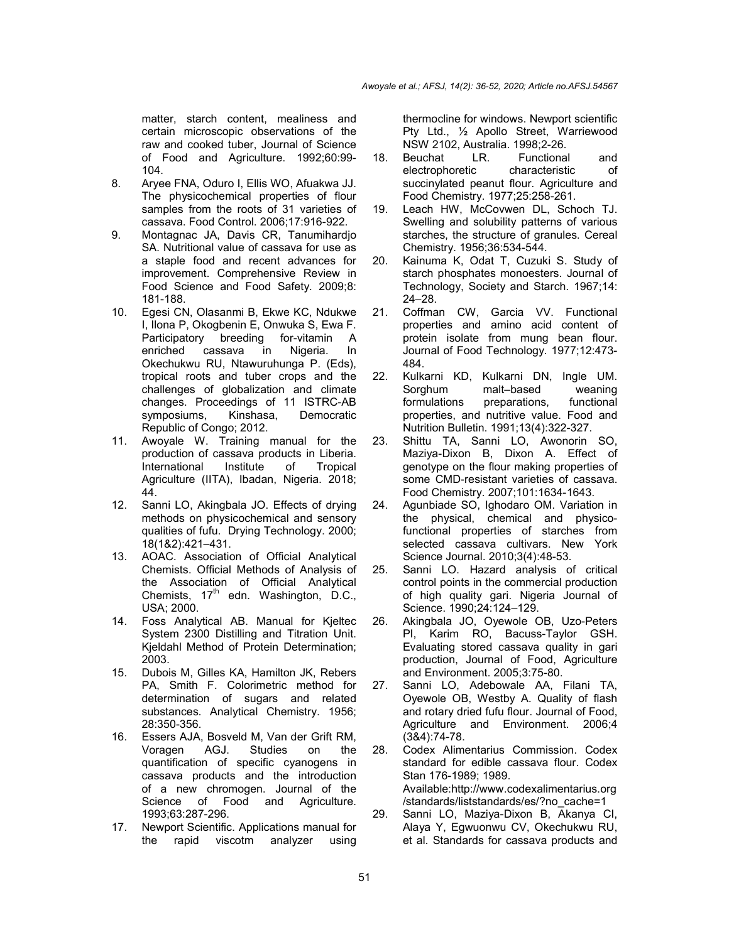matter, starch content, mealiness and certain microscopic observations of the raw and cooked tuber, Journal of Science of Food and Agriculture. 1992;60:99- 104.

- 8. Aryee FNA, Oduro I, Ellis WO, Afuakwa JJ. The physicochemical properties of flour samples from the roots of 31 varieties of cassava. Food Control. 2006;17:916-922.
- 9. Montagnac JA, Davis CR, Tanumihardjo SA. Nutritional value of cassava for use as a staple food and recent advances for improvement. Comprehensive Review in Food Science and Food Safety. 2009;8: 181-188.
- 10. Egesi CN, Olasanmi B, Ekwe KC, Ndukwe I, Ilona P, Okogbenin E, Onwuka S, Ewa F. Participatory breeding for-vitamin A enriched cassava in Nigeria. In Okechukwu RU, Ntawuruhunga P. (Eds), tropical roots and tuber crops and the challenges of globalization and climate changes. Proceedings of 11 ISTRC-AB symposiums, Kinshasa, Democratic Republic of Congo; 2012.
- 11. Awoyale W. Training manual for the production of cassava products in Liberia. International Institute of Tropical Agriculture (IITA), Ibadan, Nigeria. 2018; 44.
- 12. Sanni LO, Akingbala JO. Effects of drying methods on physicochemical and sensory qualities of fufu. Drying Technology. 2000; 18(1&2):421–431.
- 13. AOAC. Association of Official Analytical Chemists. Official Methods of Analysis of the Association of Official Analytical Chemists,  $17<sup>th</sup>$  edn. Washington, D.C., USA; 2000.
- 14. Foss Analytical AB. Manual for Kjeltec System 2300 Distilling and Titration Unit. Kjeldahl Method of Protein Determination; 2003.
- 15. Dubois M, Gilles KA, Hamilton JK, Rebers PA, Smith F. Colorimetric method for determination of sugars and related substances. Analytical Chemistry. 1956; 28:350-356.
- 16. Essers AJA, Bosveld M, Van der Grift RM, Voragen AGJ. Studies on the quantification of specific cyanogens in cassava products and the introduction of a new chromogen. Journal of the Science of Food and Agriculture. 1993;63:287-296.
- 17. Newport Scientific. Applications manual for the rapid viscotm analyzer using

thermocline for windows. Newport scientific Pty Ltd., ½ Apollo Street, Warriewood NSW 2102, Australia. 1998;2-26.

- 18. Beuchat LR. Functional and electrophoretic characteristic of succinylated peanut flour. Agriculture and Food Chemistry. 1977;25:258-261.
- 19. Leach HW, McCovwen DL, Schoch TJ. Swelling and solubility patterns of various starches, the structure of granules. Cereal Chemistry. 1956;36:534-544.
- 20. Kainuma K, Odat T, Cuzuki S. Study of starch phosphates monoesters. Journal of Technology, Society and Starch. 1967;14: 24–28.
- 21. Coffman CW, Garcia VV. Functional properties and amino acid content of protein isolate from mung bean flour. Journal of Food Technology. 1977;12:473- 484.
- 22. Kulkarni KD, Kulkarni DN, Ingle UM. Sorghum malt–based weaning formulations preparations, functional properties, and nutritive value. Food and Nutrition Bulletin. 1991;13(4):322-327.
- 23. Shittu TA, Sanni LO, Awonorin SO, Maziya-Dixon B, Dixon A. Effect of genotype on the flour making properties of some CMD-resistant varieties of cassava. Food Chemistry. 2007;101:1634-1643.
- 24. Agunbiade SO, Ighodaro OM. Variation in the physical, chemical and physicofunctional properties of starches from selected cassava cultivars. New York Science Journal. 2010;3(4):48-53.
- 25. Sanni LO. Hazard analysis of critical control points in the commercial production of high quality gari. Nigeria Journal of Science. 1990;24:124–129.
- 26. Akingbala JO, Oyewole OB, Uzo-Peters PI, Karim RO, Bacuss-Taylor GSH. Evaluating stored cassava quality in gari production, Journal of Food, Agriculture and Environment. 2005;3:75-80.
- 27. Sanni LO, Adebowale AA, Filani TA, Oyewole OB, Westby A. Quality of flash and rotary dried fufu flour. Journal of Food, Agriculture and Environment. 2006;4 (3&4):74-78.
- 28. Codex Alimentarius Commission. Codex standard for edible cassava flour. Codex Stan 176-1989; 1989. Available:http://www.codexalimentarius.org /standards/liststandards/es/?no\_cache=1
- 29. Sanni LO, Maziya-Dixon B, Akanya CI, Alaya Y, Egwuonwu CV, Okechukwu RU, et al. Standards for cassava products and